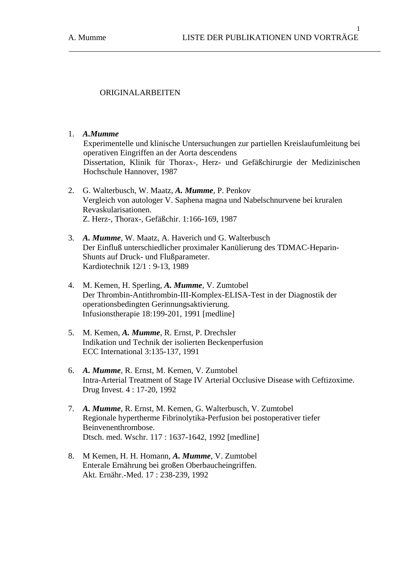1

# ORIGINALARBEITEN

### 1. *A.Mumme*

Experimentelle und klinische Untersuchungen zur partiellen Kreislaufumleitung bei operativen Eingriffen an der Aorta descendens Dissertation, Klinik für Thorax-, Herz- und Gefäßchirurgie der Medizinischen Hochschule Hannover, 1987

- 2. G. Walterbusch, W. Maatz, *A. Mumme*, P. Penkov Vergleich von autologer V. Saphena magna und Nabelschnurvene bei kruralen Revaskularisationen. Z. Herz-, Thorax-, Gefäßchir. 1:166-169, 1987
- 3. *A. Mumme*, W. Maatz, A. Haverich und G. Walterbusch Der Einfluß unterschiedlicher proximaler Kanülierung des TDMAC-Heparin- Shunts auf Druck- und Flußparameter. Kardiotechnik 12/1 : 9-13, 1989
- 4. M. Kemen, H. Sperling, *A. Mumme*, V. Zumtobel Der Thrombin-Antithrombin-III-Komplex-ELISA-Test in der Diagnostik der operationsbedingten Gerinnungsaktivierung. Infusionstherapie 18:199-201, 1991 [medline]
- 5. M. Kemen, *A. Mumme*, R. Ernst, P. Drechsler Indikation und Technik der isolierten Beckenperfusion ECC International 3:135-137, 1991
- 6. *A. Mumme*, R. Ernst, M. Kemen, V. Zumtobel Intra-Arterial Treatment of Stage IV Arterial Occlusive Disease with Ceftizoxime. Drug Invest. 4 : 17-20, 1992
- 7. *A. Mumme*, R. Ernst, M. Kemen, G. Walterbusch, V. Zumtobel Regionale hypertherme Fibrinolytika-Perfusion bei postoperativer tiefer Beinvenenthrombose. Dtsch. med. Wschr. 117 : 1637-1642, 1992 [medline]
- 8. M Kemen, H. H. Homann, *A. Mumme*, V. Zumtobel Enterale Ernährung bei großen Oberbaucheingriffen. Akt. Ernähr.-Med. 17 : 238-239, 1992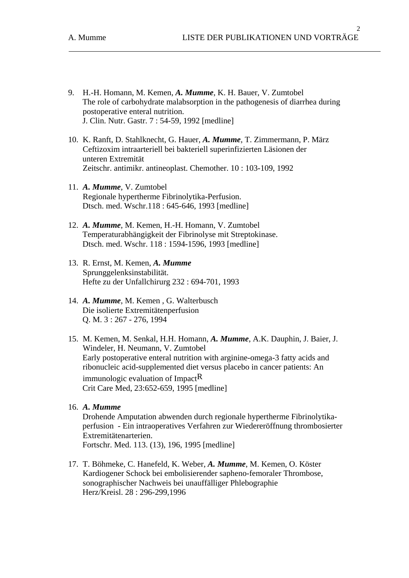- 9. H.-H. Homann, M. Kemen, *A. Mumme*, K. H. Bauer, V. Zumtobel The role of carbohydrate malabsorption in the pathogenesis of diarrhea during postoperative enteral nutrition. J. Clin. Nutr. Gastr. 7 : 54-59, 1992 [medline]
- 10. K. Ranft, D. Stahlknecht, G. Hauer, *A. Mumme*, T. Zimmermann, P. März Ceftizoxim intraarteriell bei bakteriell superinfizierten Läsionen der unteren Extremität Zeitschr. antimikr. antineoplast. Chemother. 10 : 103-109, 1992
- 11. *A. Mumme*, V. Zumtobel Regionale hypertherme Fibrinolytika-Perfusion. Dtsch. med. Wschr.118 : 645-646, 1993 [medline]
- 12. *A. Mumme*, M. Kemen, H.-H. Homann, V. Zumtobel Temperaturabhängigkeit der Fibrinolyse mit Streptokinase. Dtsch. med. Wschr. 118 : 1594-1596, 1993 [medline]
- 13. R. Ernst, M. Kemen, *A. Mumme* Sprunggelenksinstabilität. Hefte zu der Unfallchirurg 232 : 694-701, 1993
- 14. *A. Mumme*, M. Kemen , G. Walterbusch Die isolierte Extremitätenperfusion Q. M. 3 : 267 - 276, 1994
- 15. M. Kemen, M. Senkal, H.H. Homann, *A. Mumme*, A.K. Dauphin, J. Baier, J. Windeler, H. Neumann, V. Zumtobel Early postoperative enteral nutrition with arginine-omega-3 fatty acids and ribonucleic acid-supplemented diet versus placebo in cancer patients: An immunologic evaluation of Impact $R$ Crit Care Med, 23:652-659, 1995 [medline]
- 16. *A. Mumme*

 Drohende Amputation abwenden durch regionale hypertherme Fibrinolytika perfusion - Ein intraoperatives Verfahren zur Wiedereröffnung thrombosierter Extremitätenarterien. Fortschr. Med. 113. (13), 196, 1995 [medline]

17. T. Böhmeke, C. Hanefeld, K. Weber, *A. Mumme*, M. Kemen, O. Köster Kardiogener Schock bei embolisierender sapheno-femoraler Thrombose, sonographischer Nachweis bei unauffälliger Phlebographie Herz/Kreisl. 28 : 296-299,1996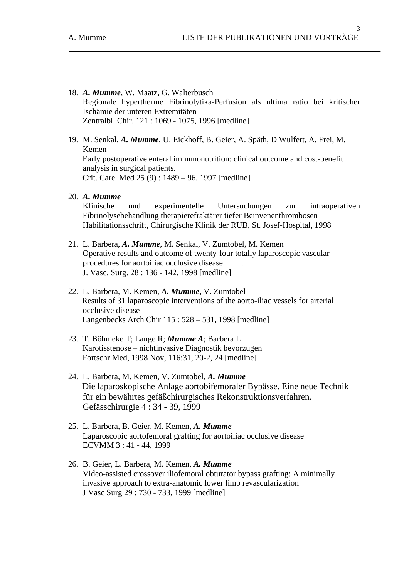- 18. *A. Mumme*, W. Maatz, G. Walterbusch Regionale hypertherme Fibrinolytika-Perfusion als ultima ratio bei kritischer Ischämie der unteren Extremitäten Zentralbl. Chir. 121 : 1069 - 1075, 1996 [medline]
- 19. M. Senkal, *A. Mumme*, U. Eickhoff, B. Geier, A. Späth, D Wulfert, A. Frei, M. Kemen Early postoperative enteral immunonutrition: clinical outcome and cost-benefit analysis in surgical patients. Crit. Care. Med 25 (9) : 1489 – 96, 1997 [medline]
- 20. *A. Mumme*

 Klinische und experimentelle Untersuchungen zur intraoperativen Fibrinolysebehandlung therapierefraktärer tiefer Beinvenenthrombosen Habilitationsschrift, Chirurgische Klinik der RUB, St. Josef-Hospital, 1998

- 21. L. Barbera, *A. Mumme*, M. Senkal, V. Zumtobel, M. Kemen Operative results and outcome of twenty-four totally laparoscopic vascular procedures for aortoiliac occlusive disease . J. Vasc. Surg. 28 : 136 - 142, 1998 [medline]
- 22. L. Barbera, M. Kemen, *A. Mumme*, V. Zumtobel Results of 31 laparoscopic interventions of the aorto-iliac vessels for arterial occlusive disease Langenbecks Arch Chir 115 : 528 – 531, 1998 [medline]
- 23. T. Böhmeke T; Lange R; *Mumme A*; Barbera L Karotisstenose – nichtinvasive Diagnostik bevorzugen Fortschr Med, 1998 Nov, 116:31, 20-2, 24 [medline]
- 24. L. Barbera, M. Kemen, V. Zumtobel, *A. Mumme*  Die laparoskopische Anlage aortobifemoraler Bypässe. Eine neue Technik für ein bewährtes gefäßchirurgisches Rekonstruktionsverfahren. Gefässchirurgie 4 : 34 - 39, 1999
- 25. L. Barbera, B. Geier, M. Kemen, *A. Mumme* Laparoscopic aortofemoral grafting for aortoiliac occlusive disease ECVMM 3 : 41 - 44, 1999
- 26. B. Geier, L. Barbera, M. Kemen, *A. Mumme*  Video-assisted crossover iliofemoral obturator bypass grafting: A minimally invasive approach to extra-anatomic lower limb revascularization J Vasc Surg 29 : 730 - 733, 1999 [medline]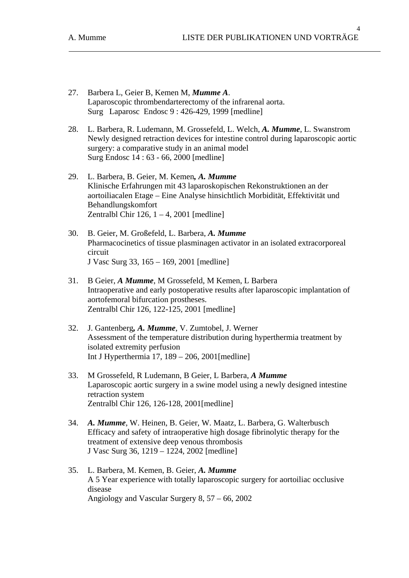$\overline{A}$ 

- 27. Barbera L, Geier B, Kemen M, *Mumme A*. Laparoscopic thrombendarterectomy of the infrarenal aorta. Surg Laparosc Endosc 9 : 426-429, 1999 [medline]
- 28. L. Barbera, R. Ludemann, M. Grossefeld, L. Welch, *A. Mumme*, L. Swanstrom Newly designed retraction devices for intestine control during laparoscopic aortic surgery: a comparative study in an animal model Surg Endosc 14 : 63 - 66, 2000 [medline]
- 29. L. Barbera, B. Geier, M. Kemen*, A. Mumme*  Klinische Erfahrungen mit 43 laparoskopischen Rekonstruktionen an der aortoiliacalen Etage – Eine Analyse hinsichtlich Morbidität, Effektivität und Behandlungskomfort Zentralbl Chir  $126$ ,  $1 - 4$ ,  $2001$  [medline]
- 30. B. Geier, M. Großefeld, L. Barbera, *A. Mumme*  Pharmacocinetics of tissue plasminagen activator in an isolated extracorporeal circuit J Vasc Surg 33, 165 – 169, 2001 [medline]
- 31. B Geier, *A Mumme*, M Grossefeld, M Kemen, L Barbera Intraoperative and early postoperative results after laparoscopic implantation of aortofemoral bifurcation prostheses. Zentralbl Chir 126, 122-125, 2001 [medline]
- 32. J. Gantenberg*, A. Mumme*, V. Zumtobel, J. Werner Assessment of the temperature distribution during hyperthermia treatment by isolated extremity perfusion Int J Hyperthermia 17, 189 – 206, 2001[medline]
- 33. M Grossefeld, R Ludemann, B Geier, L Barbera, *A Mumme* Laparoscopic aortic surgery in a swine model using a newly designed intestine retraction system Zentralbl Chir 126, 126-128, 2001[medline]
- 34. *A. Mumme*, W. Heinen, B. Geier, W. Maatz, L. Barbera, G. Walterbusch Efficacy and safety of intraoperative high dosage fibrinolytic therapy for the treatment of extensive deep venous thrombosis J Vasc Surg 36, 1219 – 1224, 2002 [medline]
- 35. L. Barbera, M. Kemen, B. Geier, *A. Mumme*  A 5 Year experience with totally laparoscopic surgery for aortoiliac occlusive disease Angiology and Vascular Surgery 8, 57 – 66, 2002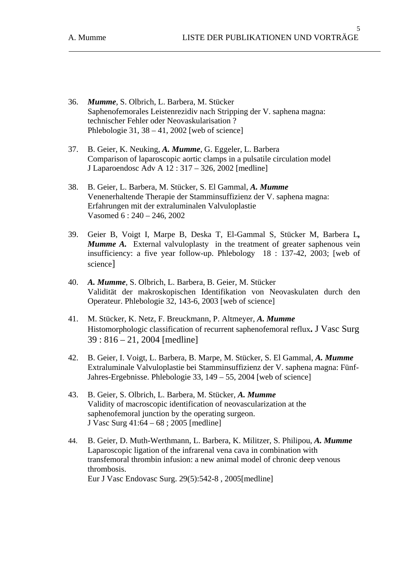- 36. *Mumme*, S. Olbrich, L. Barbera, M. Stücker Saphenofemorales Leistenrezidiv nach Stripping der V. saphena magna: technischer Fehler oder Neovaskularisation ? Phlebologie 31,  $38 - 41$ ,  $2002$  [web of science]
- 37. B. Geier, K. Neuking, *A. Mumme*, G. Eggeler, L. Barbera Comparison of laparoscopic aortic clamps in a pulsatile circulation model J Laparoendosc Adv A 12 : 317 – 326, 2002 [medline]
- 38. B. Geier, L. Barbera, M. Stücker, S. El Gammal, *A. Mumme* Venenerhaltende Therapie der Stamminsuffizienz der V. saphena magna: Erfahrungen mit der extraluminalen Valvuloplastie Vasomed 6 : 240 – 246, 2002
- 39. Geier B, Voigt I, Marpe B, Deska T, El-Gammal S, Stücker M, Barbera L*, Mumme A.* External valvuloplasty in the treatment of greater saphenous vein insufficiency: a five year follow-up. Phlebology 18 : 137-42, 2003; [web of science]
- 40. *A. Mumme*, S. Olbrich, L. Barbera, B. Geier, M. Stücker Validität der makroskopischen Identifikation von Neovaskulaten durch den Operateur. Phlebologie 32, 143-6, 2003 [web of science]
- 41. M. Stücker, K. Netz, F. Breuckmann, P. Altmeyer, *A. Mumme* Histomorphologic classification of recurrent saphenofemoral reflux**.** J Vasc Surg 39 : 816 – 21, 2004 [medline]
- 42. B. Geier, I. Voigt, L. Barbera, B. Marpe, M. Stücker, S. El Gammal, *A. Mumme*  Extraluminale Valvuloplastie bei Stamminsuffizienz der V. saphena magna: Fünf-Jahres-Ergebnisse. Phlebologie 33, 149 – 55, 2004 [web of science]
- 43. B. Geier, S. Olbrich, L. Barbera, M. Stücker, *A. Mumme* Validity of macroscopic identification of neovascularization at the saphenofemoral junction by the operating surgeon. J Vasc Surg 41:64 – 68 ; 2005 [medline]
- 44. B. Geier, D. Muth-Werthmann, L. Barbera, K. Militzer, S. Philipou, *A. Mumme* Laparoscopic ligation of the infrarenal vena cava in combination with transfemoral thrombin infusion: a new animal model of chronic deep venous thrombosis. Eur J Vasc Endovasc Surg. 29(5):542-8 , 2005[medline]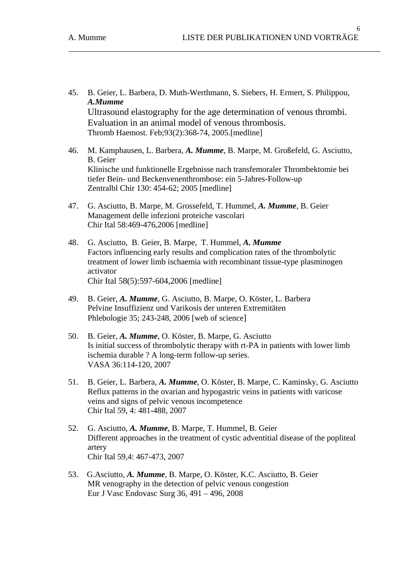- 45. B. Geier, L. Barbera, D. Muth-Werthmann, S. Siebers, H. Ermert, S. Philippou, *A.Mumme* Ultrasound elastography for the age determination of venous thrombi. Evaluation in an animal model of venous thrombosis. Thromb Haemost. Feb;93(2):368-74, 2005.[medline]
- 46. M. Kamphausen, L. Barbera, *A. Mumme*, B. Marpe, M. Großefeld, G. Asciutto, B. Geier Klinische und funktionelle Ergebnisse nach transfemoraler Thrombektomie bei tiefer Bein- und Beckenvenenthrombose: ein 5-Jahres-Follow-up Zentralbl Chir 130: 454-62; 2005 [medline]
- 47. G. Asciutto, B. Marpe, M. Grossefeld, T. Hummel, *A. Mumme*, B. Geier Management delle infezioni proteiche vascolari Chir Ital 58:469-476,2006 [medline]
- 48. G. Asciutto, B. Geier, B. Marpe, T. Hummel, *A. Mumme* Factors influencing early results and complication rates of the thrombolytic treatment of lower limb ischaemia with recombinant tissue-type plasminogen activator Chir Ital 58(5):597-604,2006 [medline]
- 49. B. Geier, *A. Mumme*, G. Asciutto, B. Marpe, O. Köster, L. Barbera Pelvine Insuffizienz und Varikosis der unteren Extremitäten Phlebologie 35; 243-248, 2006 [web of science]
- 50. B. Geier, *A. Mumme*, O. Köster, B. Marpe, G. Asciutto Is initial success of thrombolytic therapy with rt-PA in patients with lower limb ischemia durable ? A long-term follow-up series. VASA 36:114-120, 2007
- 51. B. Geier, L. Barbera, *A. Mumme*, O. Köster, B. Marpe, C. Kaminsky, G. Asciutto Reflux patterns in the ovarian and hypogastric veins in patients with varicose veins and signs of pelvic venous incompetence Chir Ital 59, 4: 481-488, 2007
- 52. G. Asciutto, *A. Mumme*, B. Marpe, T. Hummel, B. Geier Different approaches in the treatment of cystic adventitial disease of the popliteal artery Chir Ital 59,4: 467-473, 2007
- 53. G.Asciutto, *A. Mumme*, B. Marpe, O. Köster, K.C. Asciutto, B. Geier MR venography in the detection of pelvic venous congestion Eur J Vasc Endovasc Surg 36, 491 – 496, 2008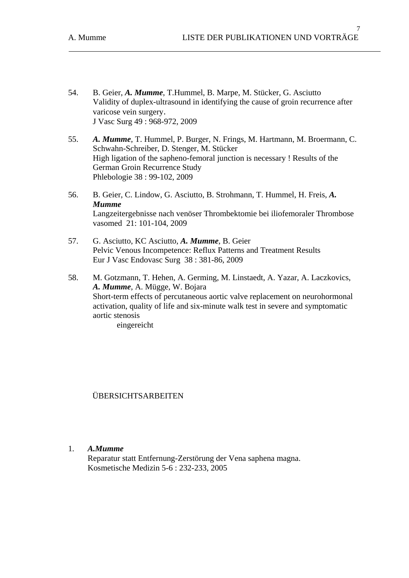- 54. B. Geier, *A. Mumme*, T.Hummel, B. Marpe, M. Stücker, G. Asciutto Validity of duplex-ultrasound in identifying the cause of groin recurrence after varicose vein surgery. J Vasc Surg 49 : 968-972, 2009
- 55. *A. Mumme*, T. Hummel, P. Burger, N. Frings, M. Hartmann, M. Broermann, C. Schwahn-Schreiber, D. Stenger, M. Stücker High ligation of the sapheno-femoral junction is necessary ! Results of the German Groin Recurrence Study Phlebologie 38 : 99-102, 2009
- 56. B. Geier, C. Lindow, G. Asciutto, B. Strohmann, T. Hummel, H. Freis, *A. Mumme* Langzeitergebnisse nach venöser Thrombektomie bei iliofemoraler Thrombose vasomed 21: 101-104, 2009
- 57. G. Asciutto, KC Asciutto, *A. Mumme*, B. Geier Pelvic Venous Incompetence: Reflux Patterns and Treatment Results Eur J Vasc Endovasc Surg 38 : 381-86, 2009
- 58. M. Gotzmann, T. Hehen, A. Germing, M. Linstaedt, A. Yazar, A. Laczkovics, *A. Mumme*, A. Mügge, W. Bojara Short-term effects of percutaneous aortic valve replacement on neurohormonal activation, quality of life and six-minute walk test in severe and symptomatic aortic stenosis

eingereicht

ÜBERSICHTSARBEITEN

## 1. *A.Mumme*

Reparatur statt Entfernung-Zerstörung der Vena saphena magna. Kosmetische Medizin 5-6 : 232-233, 2005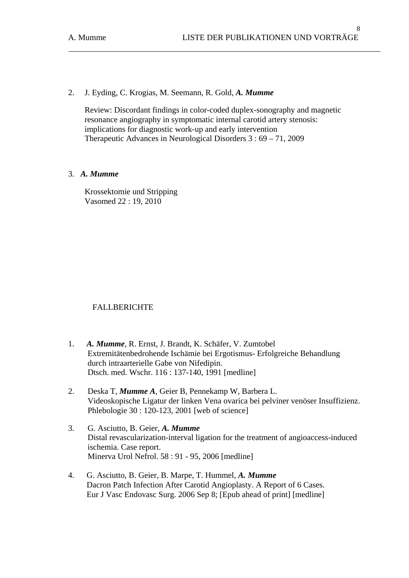2. J. Eyding, C. Krogias, M. Seemann, R. Gold, *A. Mumme*

Review: Discordant findings in color-coded duplex-sonography and magnetic resonance angiography in symptomatic internal carotid artery stenosis: implications for diagnostic work-up and early intervention Therapeutic Advances in Neurological Disorders 3 : 69 – 71, 2009

### 3. *A. Mumme*

Krossektomie und Stripping Vasomed 22 : 19, 2010

## FALLBERICHTE

- 1. *A. Mumme*, R. Ernst, J. Brandt, K. Schäfer, V. Zumtobel Extremitätenbedrohende Ischämie bei Ergotismus- Erfolgreiche Behandlung durch intraarterielle Gabe von Nifedipin. Dtsch. med. Wschr. 116 : 137-140, 1991 [medline]
- 2. Deska T, *Mumme A*, Geier B, Pennekamp W, Barbera L. Videoskopische Ligatur der linken Vena ovarica bei pelviner venöser Insuffizienz. Phlebologie 30 : 120-123, 2001 [web of science]
- 3. G. Asciutto, B. Geier, *A. Mumme*  Distal revascularization-interval ligation for the treatment of angioaccess-induced ischemia. Case report. Minerva Urol Nefrol. 58 : 91 - 95, 2006 [medline]
- 4. G. Asciutto, B. Geier, B. Marpe, T. Hummel, *A. Mumme* Dacron Patch Infection After Carotid Angioplasty. A Report of 6 Cases. Eur J Vasc Endovasc Surg. 2006 Sep 8; [Epub ahead of print] [medline]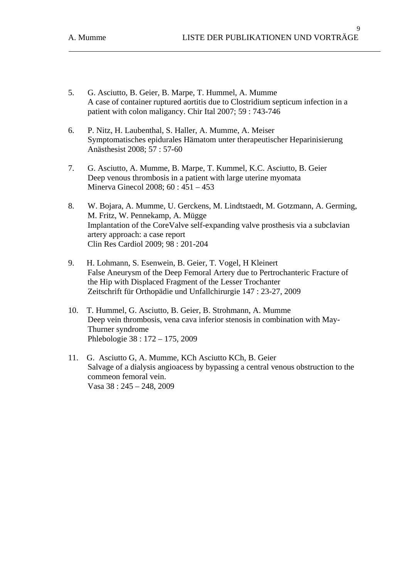- 5. G. Asciutto, B. Geier, B. Marpe, T. Hummel, A. Mumme A case of container ruptured aortitis due to Clostridium septicum infection in a patient with colon maligancy. Chir Ital 2007; 59 : 743-746
- 6. P. Nitz, H. Laubenthal, S. Haller, A. Mumme, A. Meiser Symptomatisches epidurales Hämatom unter therapeutischer Heparinisierung Anästhesist 2008; 57 : 57-60
- 7. G. Asciutto, A. Mumme, B. Marpe, T. Kummel, K.C. Asciutto, B. Geier Deep venous thrombosis in a patient with large uterine myomata Minerva Ginecol 2008; 60 : 451 – 453
- 8. W. Bojara, A. Mumme, U. Gerckens, M. Lindtstaedt, M. Gotzmann, A. Germing, M. Fritz, W. Pennekamp, A. Mügge Implantation of the CoreValve self-expanding valve prosthesis via a subclavian artery approach: a case report Clin Res Cardiol 2009; 98 : 201-204
- 9. H. Lohmann, S. Esenwein, B. Geier, T. Vogel, H Kleinert False Aneurysm of the Deep Femoral Artery due to Pertrochanteric Fracture of the Hip with Displaced Fragment of the Lesser Trochanter Zeitschrift für Orthopädie und Unfallchirurgie 147 : 23-27, 2009
- 10. T. Hummel, G. Asciutto, B. Geier, B. Strohmann, A. Mumme Deep vein thrombosis, vena cava inferior stenosis in combination with May-Thurner syndrome Phlebologie 38 : 172 – 175, 2009
- 11. G. Asciutto G, A. Mumme, KCh Asciutto KCh, B. Geier Salvage of a dialysis angioacess by bypassing a central venous obstruction to the commeon femoral vein. Vasa 38 : 245 – 248, 2009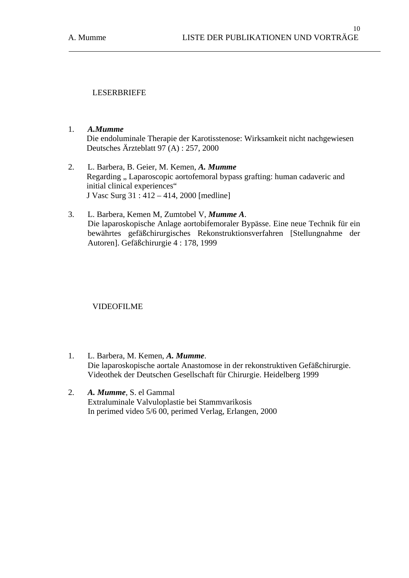## LESERBRIEFE

- 1. *A.Mumme*  Die endoluminale Therapie der Karotisstenose: Wirksamkeit nicht nachgewiesen Deutsches Ärzteblatt 97 (A) : 257, 2000
- 2. L. Barbera, B. Geier, M. Kemen, *A. Mumme*  Regarding ". Laparoscopic aortofemoral bypass grafting: human cadaveric and initial clinical experiences" J Vasc Surg 31 : 412 – 414, 2000 [medline]
- 3. L. Barbera, Kemen M, Zumtobel V, *Mumme A*. Die laparoskopische Anlage aortobifemoraler Bypässe. Eine neue Technik für ein bewährtes gefäßchirurgisches Rekonstruktionsverfahren [Stellungnahme der Autoren]. Gefäßchirurgie 4 : 178, 1999

## VIDEOFILME

- 1. L. Barbera, M. Kemen, *A. Mumme*. Die laparoskopische aortale Anastomose in der rekonstruktiven Gefäßchirurgie. Videothek der Deutschen Gesellschaft für Chirurgie. Heidelberg 1999
- 2. *A. Mumme*, S. el Gammal Extraluminale Valvuloplastie bei Stammvarikosis In perimed video 5/6 00, perimed Verlag, Erlangen, 2000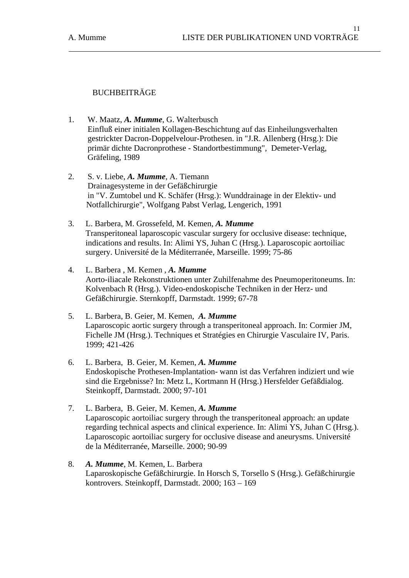# BUCHBEITRÄGE

- 1. W. Maatz, *A. Mumme*, G. Walterbusch Einfluß einer initialen Kollagen-Beschichtung auf das Einheilungsverhalten gestrickter Dacron-Doppelvelour-Prothesen. in "J.R. Allenberg (Hrsg.): Die primär dichte Dacronprothese - Standortbestimmung", Demeter-Verlag, Gräfeling, 1989
- 2. S. v. Liebe, *A. Mumme*, A. Tiemann Drainagesysteme in der Gefäßchirurgie in "V. Zumtobel und K. Schäfer (Hrsg.): Wunddrainage in der Elektiv- und Notfallchirurgie", Wolfgang Pabst Verlag, Lengerich, 1991
- 3. L. Barbera, M. Grossefeld, M. Kemen, *A. Mumme* Transperitoneal laparoscopic vascular surgery for occlusive disease: technique, indications and results. In: Alimi YS, Juhan C (Hrsg.). Laparoscopic aortoiliac surgery. Université de la Méditerranée, Marseille. 1999; 75-86
- 4. L. Barbera , M. Kemen , *A. Mumme* Aorto-iliacale Rekonstruktionen unter Zuhilfenahme des Pneumoperitoneums. In: Kolvenbach R (Hrsg.). Video-endoskopische Techniken in der Herz- und Gefäßchirurgie. Sternkopff, Darmstadt. 1999; 67-78
- 5. L. Barbera, B. Geier, M. Kemen, *A. Mumme* Laparoscopic aortic surgery through a transperitoneal approach. In: Cormier JM, Fichelle JM (Hrsg.). Techniques et Stratégies en Chirurgie Vasculaire IV, Paris. 1999; 421-426
- 6. L. Barbera, B. Geier, M. Kemen, *A. Mumme* Endoskopische Prothesen-Implantation- wann ist das Verfahren indiziert und wie sind die Ergebnisse? In: Metz L, Kortmann H (Hrsg.) Hersfelder Gefäßdialog. Steinkopff, Darmstadt. 2000; 97-101
- 7. L. Barbera, B. Geier, M. Kemen, *A. Mumme* Laparoscopic aortoiliac surgery through the transperitoneal approach: an update regarding technical aspects and clinical experience. In: Alimi YS, Juhan C (Hrsg.). Laparoscopic aortoiliac surgery for occlusive disease and aneurysms. Université de la Méditerranée, Marseille. 2000; 90-99
- 8. *A. Mumme*, M. Kemen, L. Barbera Laparoskopische Gefäßchirurgie. In Horsch S, Torsello S (Hrsg.). Gefäßchirurgie kontrovers. Steinkopff, Darmstadt. 2000; 163 – 169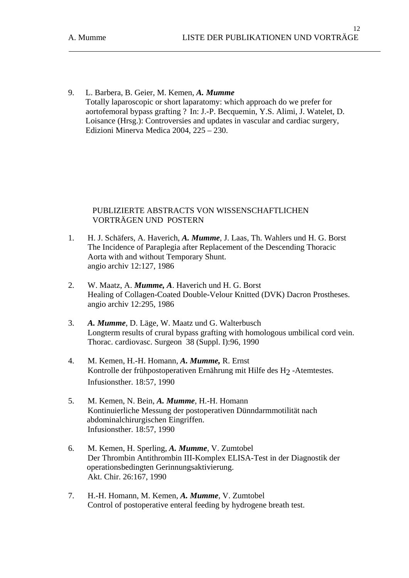9. L. Barbera, B. Geier, M. Kemen, *A. Mumme* Totally laparoscopic or short laparatomy: which approach do we prefer for aortofemoral bypass grafting ? In: J.-P. Becquemin, Y.S. Alimi, J. Watelet, D. Loisance (Hrsg.): Controversies and updates in vascular and cardiac surgery, Edizioni Minerva Medica 2004, 225 – 230.

## PUBLIZIERTE ABSTRACTS VON WISSENSCHAFTLICHEN VORTRÄGEN UND POSTERN

- 1. H. J. Schäfers, A. Haverich, *A. Mumme*, J. Laas, Th. Wahlers und H. G. Borst The Incidence of Paraplegia after Replacement of the Descending Thoracic Aorta with and without Temporary Shunt. angio archiv 12:127, 1986
- 2. W. Maatz, A. *Mumme, A*. Haverich und H. G. Borst Healing of Collagen-Coated Double-Velour Knitted (DVK) Dacron Prostheses. angio archiv 12:295, 1986
- 3. *A. Mumme*, D. Läge, W. Maatz und G. Walterbusch Longterm results of crural bypass grafting with homologous umbilical cord vein. Thorac. cardiovasc. Surgeon 38 (Suppl. I):96, 1990
- 4. M. Kemen, H.-H. Homann, *A. Mumme,* R. Ernst Kontrolle der frühpostoperativen Ernährung mit Hilfe des H<sub>2</sub>-Atemtestes. Infusionsther. 18:57, 1990
- 5. M. Kemen, N. Bein, *A. Mumme*, H.-H. Homann Kontinuierliche Messung der postoperativen Dünndarmmotilität nach abdominalchirurgischen Eingriffen. Infusionsther. 18:57, 1990
- 6. M. Kemen, H. Sperling, *A. Mumme*, V. Zumtobel Der Thrombin Antithrombin III-Komplex ELISA-Test in der Diagnostik der operationsbedingten Gerinnungsaktivierung. Akt. Chir. 26:167, 1990
- 7. H.-H. Homann, M. Kemen, *A. Mumme*, V. Zumtobel Control of postoperative enteral feeding by hydrogene breath test.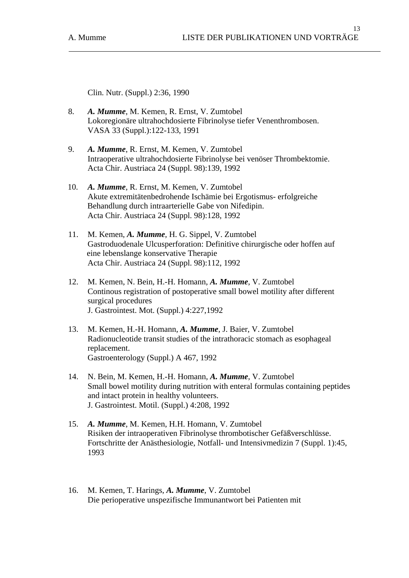Clin. Nutr. (Suppl.) 2:36, 1990

- 8. *A. Mumme*, M. Kemen, R. Ernst, V. Zumtobel Lokoregionäre ultrahochdosierte Fibrinolyse tiefer Venenthrombosen. VASA 33 (Suppl.):122-133, 1991
- 9. *A. Mumme*, R. Ernst, M. Kemen, V. Zumtobel Intraoperative ultrahochdosierte Fibrinolyse bei venöser Thrombektomie. Acta Chir. Austriaca 24 (Suppl. 98):139, 1992
- 10. *A. Mumme*, R. Ernst, M. Kemen, V. Zumtobel Akute extremitätenbedrohende Ischämie bei Ergotismus- erfolgreiche Behandlung durch intraarterielle Gabe von Nifedipin. Acta Chir. Austriaca 24 (Suppl. 98):128, 1992
- 11. M. Kemen, *A. Mumme*, H. G. Sippel, V. Zumtobel Gastroduodenale Ulcusperforation: Definitive chirurgische oder hoffen auf eine lebenslange konservative Therapie Acta Chir. Austriaca 24 (Suppl. 98):112, 1992
- 12. M. Kemen, N. Bein, H.-H. Homann, *A. Mumme*, V. Zumtobel Continous registration of postoperative small bowel motility after different surgical procedures J. Gastrointest. Mot. (Suppl.) 4:227,1992
- 13. M. Kemen, H.-H. Homann, *A. Mumme*, J. Baier, V. Zumtobel Radionucleotide transit studies of the intrathoracic stomach as esophageal replacement. Gastroenterology (Suppl.) A 467, 1992
- 14. N. Bein, M. Kemen, H.-H. Homann, *A. Mumme*, V. Zumtobel Small bowel motility during nutrition with enteral formulas containing peptides and intact protein in healthy volunteers. J. Gastrointest. Motil. (Suppl.) 4:208, 1992
- 15. *A. Mumme*, M. Kemen, H.H. Homann, V. Zumtobel Risiken der intraoperativen Fibrinolyse thrombotischer Gefäßverschlüsse. Fortschritte der Anästhesiologie, Notfall- und Intensivmedizin 7 (Suppl. 1):45, 1993
- 16. M. Kemen, T. Harings, *A. Mumme*, V. Zumtobel Die perioperative unspezifische Immunantwort bei Patienten mit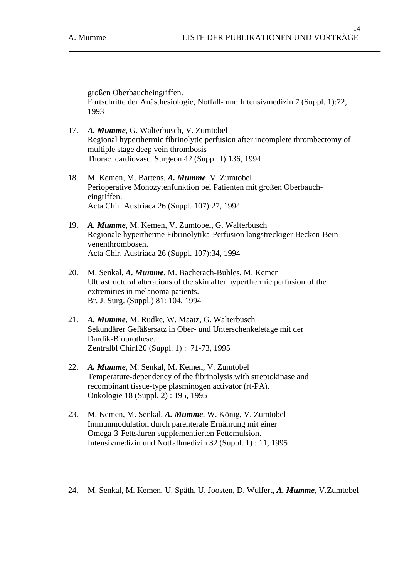großen Oberbaucheingriffen. Fortschritte der Anästhesiologie, Notfall- und Intensivmedizin 7 (Suppl. 1):72, 1993

- 17. *A. Mumme*, G. Walterbusch, V. Zumtobel Regional hyperthermic fibrinolytic perfusion after incomplete thrombectomy of multiple stage deep vein thrombosis Thorac. cardiovasc. Surgeon 42 (Suppl. I):136, 1994
- 18. M. Kemen, M. Bartens, *A. Mumme*, V. Zumtobel Perioperative Monozytenfunktion bei Patienten mit großen Oberbaucheingriffen. Acta Chir. Austriaca 26 (Suppl. 107):27, 1994
- 19. *A. Mumme*, M. Kemen, V. Zumtobel, G. Walterbusch Regionale hypertherme Fibrinolytika-Perfusion langstreckiger Becken-Beinvenenthrombosen. Acta Chir. Austriaca 26 (Suppl. 107):34, 1994
- 20. M. Senkal, *A. Mumme*, M. Bacherach-Buhles, M. Kemen Ultrastructural alterations of the skin after hyperthermic perfusion of the extremities in melanoma patients. Br. J. Surg. (Suppl.) 81: 104, 1994
- 21. *A. Mumme*, M. Rudke, W. Maatz, G. Walterbusch Sekundärer Gefäßersatz in Ober- und Unterschenkeletage mit der Dardik-Bioprothese. Zentralbl Chir120 (Suppl. 1) : 71-73, 1995
- 22. *A. Mumme*, M. Senkal, M. Kemen, V. Zumtobel Temperature-dependency of the fibrinolysis with streptokinase and recombinant tissue-type plasminogen activator (rt-PA). Onkologie 18 (Suppl. 2) : 195, 1995
- 23. M. Kemen, M. Senkal, *A. Mumme*, W. König, V. Zumtobel Immunmodulation durch parenterale Ernährung mit einer Omega-3-Fettsäuren supplementierten Fettemulsion. Intensivmedizin und Notfallmedizin 32 (Suppl. 1) : 11, 1995
- 24. M. Senkal, M. Kemen, U. Späth, U. Joosten, D. Wulfert, *A. Mumme*, V.Zumtobel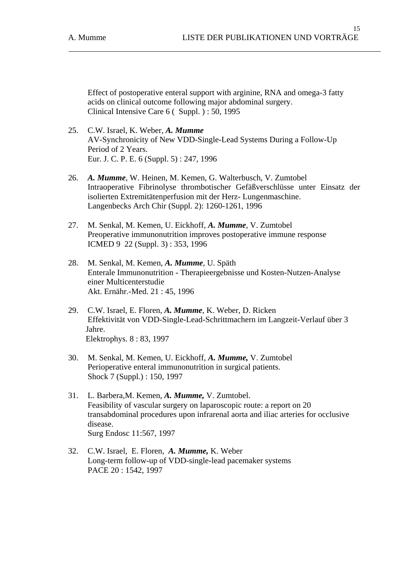Effect of postoperative enteral support with arginine, RNA and omega-3 fatty acids on clinical outcome following major abdominal surgery. Clinical Intensive Care 6 ( Suppl. ) : 50, 1995

- 25. C.W. Israel, K. Weber, *A. Mumme* AV-Synchronicity of New VDD-Single-Lead Systems During a Follow-Up Period of 2 Years. Eur. J. C. P. E. 6 (Suppl. 5) : 247, 1996
- 26. *A. Mumme*, W. Heinen, M. Kemen, G. Walterbusch, V. Zumtobel Intraoperative Fibrinolyse thrombotischer Gefäßverschlüsse unter Einsatz der isolierten Extremitätenperfusion mit der Herz- Lungenmaschine. Langenbecks Arch Chir (Suppl. 2): 1260-1261, 1996
- 27. M. Senkal, M. Kemen, U. Eickhoff, *A. Mumme*, V. Zumtobel Preoperative immunonutrition improves postoperative immune response ICMED 9 22 (Suppl. 3) : 353, 1996
- 28. M. Senkal, M. Kemen, *A. Mumme*, U. Späth Enterale Immunonutrition - Therapieergebnisse und Kosten-Nutzen-Analyse einer Multicenterstudie Akt. Ernähr.-Med. 21 : 45, 1996
- 29. C.W. Israel, E. Floren, *A. Mumme*, K. Weber, D. Ricken Effektivität von VDD-Single-Lead-Schrittmachern im Langzeit-Verlauf über 3 Jahre. Elektrophys. 8 : 83, 1997
- 30. M. Senkal, M. Kemen, U. Eickhoff, *A. Mumme,* V. Zumtobel Perioperative enteral immunonutrition in surgical patients. Shock 7 (Suppl.) : 150, 1997
- 31. L. Barbera,M. Kemen, *A. Mumme,* V. Zumtobel. Feasibility of vascular surgery on laparoscopic route: a report on 20 transabdominal procedures upon infrarenal aorta and iliac arteries for occlusive disease. Surg Endosc 11:567, 1997
- 32. C.W. Israel, E. Floren, *A. Mumme,* K. Weber Long-term follow-up of VDD-single-lead pacemaker systems PACE 20 : 1542, 1997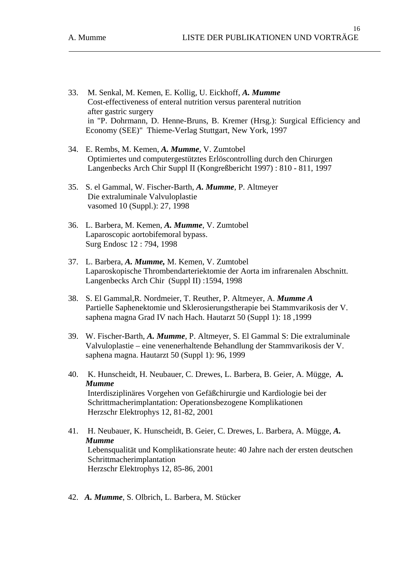- 33. M. Senkal, M. Kemen, E. Kollig, U. Eickhoff, *A. Mumme* Cost-effectiveness of enteral nutrition versus parenteral nutrition after gastric surgery in "P. Dohrmann, D. Henne-Bruns, B. Kremer (Hrsg.): Surgical Efficiency and Economy (SEE)" Thieme-Verlag Stuttgart, New York, 1997
- 34. E. Rembs, M. Kemen, *A. Mumme*, V. Zumtobel Optimiertes und computergestütztes Erlöscontrolling durch den Chirurgen Langenbecks Arch Chir Suppl II (Kongreßbericht 1997) : 810 - 811, 1997
- 35. S. el Gammal, W. Fischer-Barth, *A. Mumme*, P. Altmeyer Die extraluminale Valvuloplastie vasomed 10 (Suppl.): 27, 1998
- 36. L. Barbera, M. Kemen, *A. Mumme*, V. Zumtobel Laparoscopic aortobifemoral bypass. Surg Endosc 12 : 794, 1998
- 37. L. Barbera, *A. Mumme,* M. Kemen, V. Zumtobel Laparoskopische Thrombendarteriektomie der Aorta im infrarenalen Abschnitt. Langenbecks Arch Chir (Suppl II) :1594, 1998
- 38. S. El Gammal,R. Nordmeier, T. Reuther, P. Altmeyer, A. *Mumme A* Partielle Saphenektomie und Sklerosierungstherapie bei Stammvarikosis der V. saphena magna Grad IV nach Hach. Hautarzt 50 (Suppl 1): 18 ,1999
- 39. W. Fischer-Barth, *A. Mumme*, P. Altmeyer, S. El Gammal S: Die extraluminale Valvuloplastie – eine venenerhaltende Behandlung der Stammvarikosis der V. saphena magna. Hautarzt 50 (Suppl 1): 96, 1999
- 40. K. Hunscheidt, H. Neubauer, C. Drewes, L. Barbera, B. Geier, A. Mügge, *A. Mumme*  Interdisziplinäres Vorgehen von Gefäßchirurgie und Kardiologie bei der Schrittmacherimplantation: Operationsbezogene Komplikationen Herzschr Elektrophys 12, 81-82, 2001
- 41. H. Neubauer, K. Hunscheidt, B. Geier, C. Drewes, L. Barbera, A. Mügge, *A. Mumme* Lebensqualität und Komplikationsrate heute: 40 Jahre nach der ersten deutschen Schrittmacherimplantation Herzschr Elektrophys 12, 85-86, 2001
- 42. *A. Mumme*, S. Olbrich, L. Barbera, M. Stücker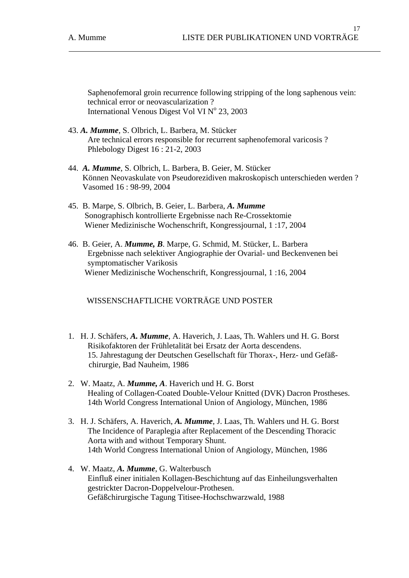Saphenofemoral groin recurrence following stripping of the long saphenous vein: technical error or neovascularization ? International Venous Digest Vol VI Nº 23, 2003

- 43. *A. Mumme*, S. Olbrich, L. Barbera, M. Stücker Are technical errors responsible for recurrent saphenofemoral varicosis ? Phlebology Digest 16 : 21-2, 2003
- 44. *A. Mumme*, S. Olbrich, L. Barbera, B. Geier, M. Stücker Können Neovaskulate von Pseudorezidiven makroskopisch unterschieden werden ? Vasomed 16 : 98-99, 2004
- 45. B. Marpe, S. Olbrich, B. Geier, L. Barbera, *A. Mumme* Sonographisch kontrollierte Ergebnisse nach Re-Crossektomie Wiener Medizinische Wochenschrift, Kongressjournal, 1 :17, 2004
- 46. B. Geier, A. *Mumme, B*. Marpe, G. Schmid, M. Stücker, L. Barbera Ergebnisse nach selektiver Angiographie der Ovarial- und Beckenvenen bei symptomatischer Varikosis Wiener Medizinische Wochenschrift, Kongressjournal, 1 :16, 2004

WISSENSCHAFTLICHE VORTRÄGE UND POSTER

- 1. H. J. Schäfers, *A. Mumme*, A. Haverich, J. Laas, Th. Wahlers und H. G. Borst Risikofaktoren der Frühletalität bei Ersatz der Aorta descendens. 15. Jahrestagung der Deutschen Gesellschaft für Thorax-, Herz- und Gefäß chirurgie, Bad Nauheim, 1986
- 2. W. Maatz, A. *Mumme, A*. Haverich und H. G. Borst Healing of Collagen-Coated Double-Velour Knitted (DVK) Dacron Prostheses. 14th World Congress International Union of Angiology, München, 1986
- 3. H. J. Schäfers, A. Haverich, *A. Mumme*, J. Laas, Th. Wahlers und H. G. Borst The Incidence of Paraplegia after Replacement of the Descending Thoracic Aorta with and without Temporary Shunt. 14th World Congress International Union of Angiology, München, 1986
- 4. W. Maatz, *A. Mumme*, G. Walterbusch Einfluß einer initialen Kollagen-Beschichtung auf das Einheilungsverhalten gestrickter Dacron-Doppelvelour-Prothesen. Gefäßchirurgische Tagung Titisee-Hochschwarzwald, 1988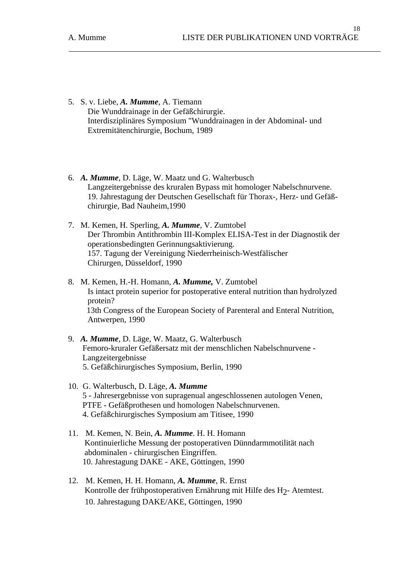- 5. S. v. Liebe, *A. Mumme*, A. Tiemann Die Wunddrainage in der Gefäßchirurgie. Interdisziplinäres Symposium "Wunddrainagen in der Abdominal- und Extremitätenchirurgie, Bochum, 1989
- 6. *A. Mumme*, D. Läge, W. Maatz und G. Walterbusch Langzeitergebnisse des kruralen Bypass mit homologer Nabelschnurvene. 19. Jahrestagung der Deutschen Gesellschaft für Thorax-, Herz- und Gefäßchirurgie, Bad Nauheim,1990
- 7. M. Kemen, H. Sperling, *A. Mumme*, V. Zumtobel Der Thrombin Antithrombin III-Komplex ELISA-Test in der Diagnostik der operationsbedingten Gerinnungsaktivierung. 157. Tagung der Vereinigung Niederrheinisch-Westfälischer Chirurgen, Düsseldorf, 1990
- 8. M. Kemen, H.-H. Homann, *A. Mumme,* V. Zumtobel Is intact protein superior for postoperative enteral nutrition than hydrolyzed protein? 13th Congress of the European Society of Parenteral and Enteral Nutrition, Antwerpen, 1990
- 9. *A. Mumme*, D. Läge, W. Maatz, G. Walterbusch Femoro-kruraler Gefäßersatz mit der menschlichen Nabelschnurvene - Langzeitergebnisse 5. Gefäßchirurgisches Symposium, Berlin, 1990
- 10. G. Walterbusch, D. Läge, *A. Mumme* 5 - Jahresergebnisse von supragenual angeschlossenen autologen Venen, PTFE - Gefäßprothesen und homologen Nabelschnurvenen. 4. Gefäßchirurgisches Symposium am Titisee, 1990
- 11. M. Kemen, N. Bein, *A. Mumme*. H. H. Homann Kontinuierliche Messung der postoperativen Dünndarmmotilität nach abdominalen - chirurgischen Eingriffen. 10. Jahrestagung DAKE - AKE, Göttingen, 1990
- 12. M. Kemen, H. H. Homann, *A. Mumme*, R. Ernst Kontrolle der frühpostoperativen Ernährung mit Hilfe des H2- Atemtest. 10. Jahrestagung DAKE/AKE, Göttingen, 1990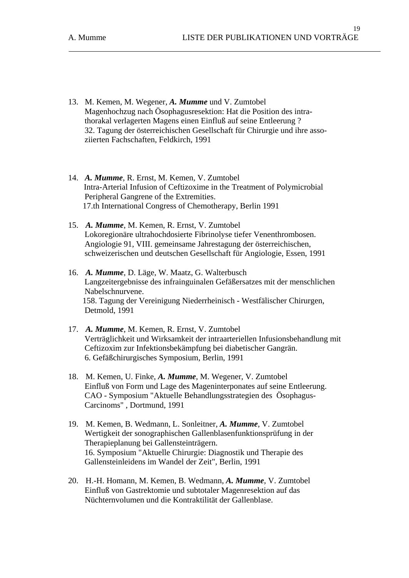- 13. M. Kemen, M. Wegener, *A. Mumme* und V. Zumtobel Magenhochzug nach Ösophagusresektion: Hat die Position des intra thorakal verlagerten Magens einen Einfluß auf seine Entleerung ? 32. Tagung der österreichischen Gesellschaft für Chirurgie und ihre asso ziierten Fachschaften, Feldkirch, 1991
- 14. *A. Mumme*, R. Ernst, M. Kemen, V. Zumtobel Intra-Arterial Infusion of Ceftizoxime in the Treatment of Polymicrobial Peripheral Gangrene of the Extremities. 17.th International Congress of Chemotherapy, Berlin 1991
- 15. *A. Mumme*, M. Kemen, R. Ernst, V. Zumtobel Lokoregionäre ultrahochdosierte Fibrinolyse tiefer Venenthrombosen. Angiologie 91, VIII. gemeinsame Jahrestagung der österreichischen, schweizerischen und deutschen Gesellschaft für Angiologie, Essen, 1991
- 16. *A. Mumme*, D. Läge, W. Maatz, G. Walterbusch Langzeitergebnisse des infrainguinalen Gefäßersatzes mit der menschlichen Nabelschnurvene. 158. Tagung der Vereinigung Niederrheinisch - Westfälischer Chirurgen, Detmold, 1991
- 17. *A. Mumme*, M. Kemen, R. Ernst, V. Zumtobel Verträglichkeit und Wirksamkeit der intraarteriellen Infusionsbehandlung mit Ceftizoxim zur Infektionsbekämpfung bei diabetischer Gangrän. 6. Gefäßchirurgisches Symposium, Berlin, 1991
- 18. M. Kemen, U. Finke, *A. Mumme*, M. Wegener, V. Zumtobel Einfluß von Form und Lage des Mageninterponates auf seine Entleerung. CAO - Symposium "Aktuelle Behandlungsstrategien des Ösophagus- Carcinoms" , Dortmund, 1991
- 19. M. Kemen, B. Wedmann, L. Sonleitner, *A. Mumme*, V. Zumtobel Wertigkeit der sonographischen Gallenblasenfunktionsprüfung in der Therapieplanung bei Gallensteinträgern. 16. Symposium "Aktuelle Chirurgie: Diagnostik und Therapie des Gallensteinleidens im Wandel der Zeit", Berlin, 1991
- 20. H.-H. Homann, M. Kemen, B. Wedmann, *A. Mumme*, V. Zumtobel Einfluß von Gastrektomie und subtotaler Magenresektion auf das Nüchternvolumen und die Kontraktilität der Gallenblase.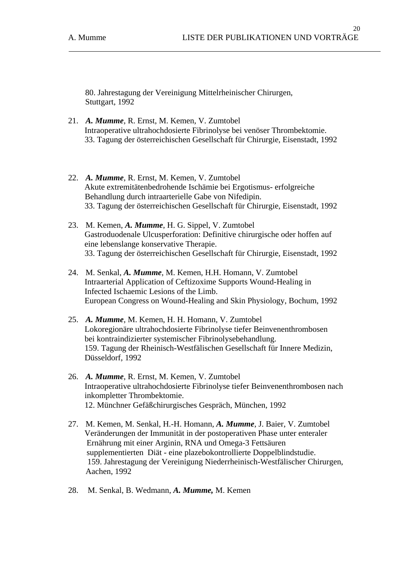80. Jahrestagung der Vereinigung Mittelrheinischer Chirurgen, Stuttgart, 1992

- 21. *A. Mumme*, R. Ernst, M. Kemen, V. Zumtobel Intraoperative ultrahochdosierte Fibrinolyse bei venöser Thrombektomie. 33. Tagung der österreichischen Gesellschaft für Chirurgie, Eisenstadt, 1992
- 22. *A. Mumme*, R. Ernst, M. Kemen, V. Zumtobel Akute extremitätenbedrohende Ischämie bei Ergotismus- erfolgreiche Behandlung durch intraarterielle Gabe von Nifedipin. 33. Tagung der österreichischen Gesellschaft für Chirurgie, Eisenstadt, 1992
- 23. M. Kemen, *A. Mumme*, H. G. Sippel, V. Zumtobel Gastroduodenale Ulcusperforation: Definitive chirurgische oder hoffen auf eine lebenslange konservative Therapie. 33. Tagung der österreichischen Gesellschaft für Chirurgie, Eisenstadt, 1992
- 24. M. Senkal, *A. Mumme*, M. Kemen, H.H. Homann, V. Zumtobel Intraarterial Application of Ceftizoxime Supports Wound-Healing in Infected Ischaemic Lesions of the Limb. European Congress on Wound-Healing and Skin Physiology, Bochum, 1992
- 25. *A. Mumme*, M. Kemen, H. H. Homann, V. Zumtobel Lokoregionäre ultrahochdosierte Fibrinolyse tiefer Beinvenenthrombosen bei kontraindizierter systemischer Fibrinolysebehandlung. 159. Tagung der Rheinisch-Westfälischen Gesellschaft für Innere Medizin, Düsseldorf, 1992
- 26. *A. Mumme*, R. Ernst, M. Kemen, V. Zumtobel Intraoperative ultrahochdosierte Fibrinolyse tiefer Beinvenenthrombosen nach inkompletter Thrombektomie. 12. Münchner Gefäßchirurgisches Gespräch, München, 1992
- 27. M. Kemen, M. Senkal, H.-H. Homann, *A. Mumme*, J. Baier, V. Zumtobel Veränderungen der Immunität in der postoperativen Phase unter enteraler Ernährung mit einer Arginin, RNA und Omega-3 Fettsäuren supplementierten Diät - eine plazebokontrollierte Doppelblindstudie. 159. Jahrestagung der Vereinigung Niederrheinisch-Westfälischer Chirurgen, Aachen, 1992
- 28. M. Senkal, B. Wedmann, *A. Mumme,* M. Kemen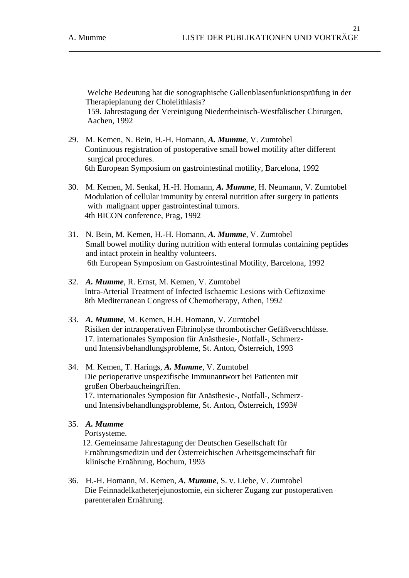Welche Bedeutung hat die sonographische Gallenblasenfunktionsprüfung in der Therapieplanung der Cholelithiasis? 159. Jahrestagung der Vereinigung Niederrheinisch-Westfälischer Chirurgen, Aachen, 1992

- 29. M. Kemen, N. Bein, H.-H. Homann, *A. Mumme*, V. Zumtobel Continuous registration of postoperative small bowel motility after different surgical procedures. 6th European Symposium on gastrointestinal motility, Barcelona, 1992
- 30. M. Kemen, M. Senkal, H.-H. Homann, *A. Mumme*, H. Neumann, V. Zumtobel Modulation of cellular immunity by enteral nutrition after surgery in patients with malignant upper gastrointestinal tumors. 4th BICON conference, Prag, 1992
- 31. N. Bein, M. Kemen, H.-H. Homann, *A. Mumme*, V. Zumtobel Small bowel motility during nutrition with enteral formulas containing peptides and intact protein in healthy volunteers. 6th European Symposium on Gastrointestinal Motility, Barcelona, 1992
- 32. *A. Mumme*, R. Ernst, M. Kemen, V. Zumtobel Intra-Arterial Treatment of Infected Ischaemic Lesions with Ceftizoxime 8th Mediterranean Congress of Chemotherapy, Athen, 1992
- 33. *A. Mumme*, M. Kemen, H.H. Homann, V. Zumtobel Risiken der intraoperativen Fibrinolyse thrombotischer Gefäßverschlüsse. 17. internationales Symposion für Anästhesie-, Notfall-, Schmerz und Intensivbehandlungsprobleme, St. Anton, Österreich, 1993
- 34. M. Kemen, T. Harings, *A. Mumme*, V. Zumtobel Die perioperative unspezifische Immunantwort bei Patienten mit großen Oberbaucheingriffen. 17. internationales Symposion für Anästhesie-, Notfall-, Schmerz und Intensivbehandlungsprobleme, St. Anton, Österreich, 1993#
- 35. *A. Mumme*

Portsysteme.

 12. Gemeinsame Jahrestagung der Deutschen Gesellschaft für Ernährungsmedizin und der Österreichischen Arbeitsgemeinschaft für klinische Ernährung, Bochum, 1993

36. H.-H. Homann, M. Kemen, *A. Mumme*, S. v. Liebe, V. Zumtobel Die Feinnadelkatheterjejunostomie, ein sicherer Zugang zur postoperativen parenteralen Ernährung.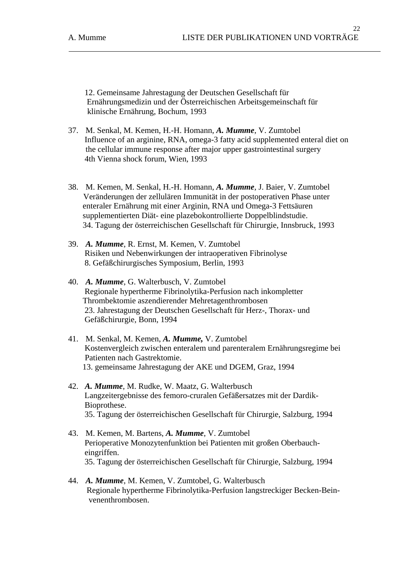12. Gemeinsame Jahrestagung der Deutschen Gesellschaft für Ernährungsmedizin und der Österreichischen Arbeitsgemeinschaft für klinische Ernährung, Bochum, 1993

- 37. M. Senkal, M. Kemen, H.-H. Homann, *A. Mumme*, V. Zumtobel Influence of an arginine, RNA, omega-3 fatty acid supplemented enteral diet on the cellular immune response after major upper gastrointestinal surgery 4th Vienna shock forum, Wien, 1993
- 38. M. Kemen, M. Senkal, H.-H. Homann, *A. Mumme*, J. Baier, V. Zumtobel Veränderungen der zellulären Immunität in der postoperativen Phase unter enteraler Ernährung mit einer Arginin, RNA und Omega-3 Fettsäuren supplementierten Diät- eine plazebokontrollierte Doppelblindstudie. 34. Tagung der österreichischen Gesellschaft für Chirurgie, Innsbruck, 1993
- 39. *A. Mumme*, R. Ernst, M. Kemen, V. Zumtobel Risiken und Nebenwirkungen der intraoperativen Fibrinolyse 8. Gefäßchirurgisches Symposium, Berlin, 1993
- 40. *A. Mumme*, G. Walterbusch, V. Zumtobel Regionale hypertherme Fibrinolytika-Perfusion nach inkompletter Thrombektomie aszendierender Mehretagenthrombosen 23. Jahrestagung der Deutschen Gesellschaft für Herz-, Thorax- und Gefäßchirurgie, Bonn, 1994
- 41. M. Senkal, M. Kemen, *A. Mumme,* V. Zumtobel Kostenvergleich zwischen enteralem und parenteralem Ernährungsregime bei Patienten nach Gastrektomie. 13. gemeinsame Jahrestagung der AKE und DGEM, Graz, 1994
- 42. *A. Mumme*, M. Rudke, W. Maatz, G. Walterbusch Langzeitergebnisse des femoro-cruralen Gefäßersatzes mit der Dardik- Bioprothese. 35. Tagung der österreichischen Gesellschaft für Chirurgie, Salzburg, 1994
- 43. M. Kemen, M. Bartens, *A. Mumme*, V. Zumtobel Perioperative Monozytenfunktion bei Patienten mit großen Oberbauch eingriffen. 35. Tagung der österreichischen Gesellschaft für Chirurgie, Salzburg, 1994
- 44. *A. Mumme*, M. Kemen, V. Zumtobel, G. Walterbusch Regionale hypertherme Fibrinolytika-Perfusion langstreckiger Becken-Bein venenthrombosen.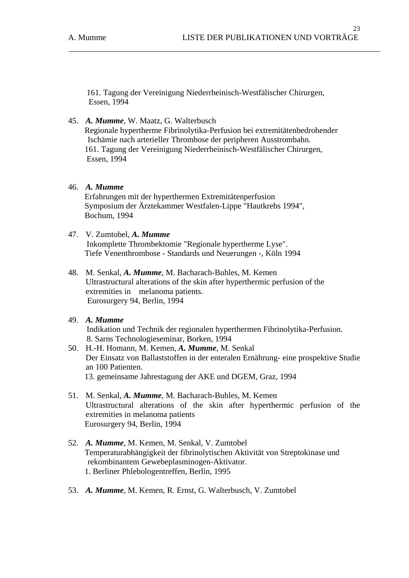161. Tagung der Vereinigung Niederrheinisch-Westfälischer Chirurgen, Essen, 1994

45. *A. Mumme*, W. Maatz, G. Walterbusch

 Regionale hypertherme Fibrinolytika-Perfusion bei extremitätenbedrohender Ischämie nach arterieller Thrombose der peripheren Ausstrombahn. 161. Tagung der Vereinigung Niederrheinisch-Westfälischer Chirurgen, Essen, 1994

### 46. *A. Mumme*

 Erfahrungen mit der hyperthermen Extremitätenperfusion Symposium der Ärztekammer Westfalen-Lippe "Hautkrebs 1994", Bochum, 1994

- 47. V. Zumtobel, *A. Mumme* Inkomplette Thrombektomie "Regionale hypertherme Lyse". Tiefe Venenthrombose - Standards und Neuerungen -, Köln 1994
- 48. M. Senkal, *A. Mumme*, M. Bacharach-Buhles, M. Kemen Ultrastructural alterations of the skin after hyperthermic perfusion of the extremities in melanoma patients. Eurosurgery 94, Berlin, 1994
- 49. *A. Mumme*

 Indikation und Technik der regionalen hyperthermen Fibrinolytika-Perfusion. 8. Sarns Technologieseminar, Borken, 1994

- 50. H.-H. Homann, M. Kemen, *A. Mumme*, M. Senkal Der Einsatz von Ballaststoffen in der enteralen Ernährung- eine prospektive Studie an 100 Patienten. 13. gemeinsame Jahrestagung der AKE und DGEM, Graz, 1994
- 51. M. Senkal, *A. Mumme*, M. Bacharach-Buhles, M. Kemen Ultrastructural alterations of the skin after hyperthermic perfusion of the extremities in melanoma patients Eurosurgery 94, Berlin, 1994
- 52. *A. Mumme*, M. Kemen, M. Senkal, V. Zumtobel Temperaturabhängigkeit der fibrinolytischen Aktivität von Streptokinase und rekombinantem Gewebeplasminogen-Aktivator. 1. Berliner Phlebologentreffen, Berlin, 1995
- 53. *A. Mumme*, M. Kemen, R. Ernst, G. Walterbusch, V. Zumtobel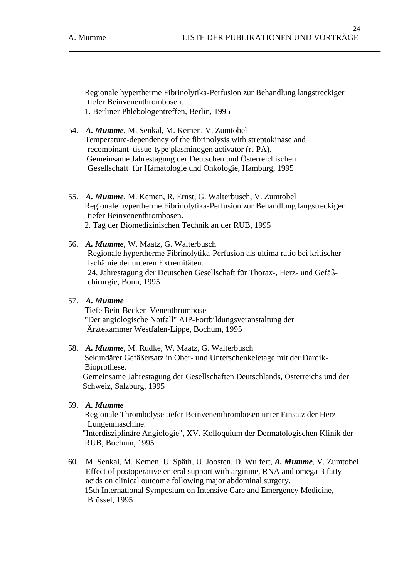Regionale hypertherme Fibrinolytika-Perfusion zur Behandlung langstreckiger tiefer Beinvenenthrombosen. 1. Berliner Phlebologentreffen, Berlin, 1995

- 54. *A. Mumme*, M. Senkal, M. Kemen, V. Zumtobel Temperature-dependency of the fibrinolysis with streptokinase and recombinant tissue-type plasminogen activator (rt-PA). Gemeinsame Jahrestagung der Deutschen und Österreichischen Gesellschaft für Hämatologie und Onkologie, Hamburg, 1995
- 55. *A. Mumme*, M. Kemen, R. Ernst, G. Walterbusch, V. Zumtobel Regionale hypertherme Fibrinolytika-Perfusion zur Behandlung langstreckiger tiefer Beinvenenthrombosen. 2. Tag der Biomedizinischen Technik an der RUB, 1995
- 56. *A. Mumme*, W. Maatz, G. Walterbusch Regionale hypertherme Fibrinolytika-Perfusion als ultima ratio bei kritischer Ischämie der unteren Extremitäten. 24. Jahrestagung der Deutschen Gesellschaft für Thorax-, Herz- und Gefäßchirurgie, Bonn, 1995
- 57. *A. Mumme* Tiefe Bein-Becken-Venenthrombose "Der angiologische Notfall" AIP-Fortbildungsveranstaltung der Ärztekammer Westfalen-Lippe, Bochum, 1995

## 58. *A. Mumme*, M. Rudke, W. Maatz, G. Walterbusch Sekundärer Gefäßersatz in Ober- und Unterschenkeletage mit der Dardik- Bioprothese. Gemeinsame Jahrestagung der Gesellschaften Deutschlands, Österreichs und der Schweiz, Salzburg, 1995

59. *A. Mumme*

 Regionale Thrombolyse tiefer Beinvenenthrombosen unter Einsatz der Herz- Lungenmaschine.

 "Interdisziplinäre Angiologie", XV. Kolloquium der Dermatologischen Klinik der RUB, Bochum, 1995

60. M. Senkal, M. Kemen, U. Späth, U. Joosten, D. Wulfert, *A. Mumme*, V. Zumtobel Effect of postoperative enteral support with arginine, RNA and omega-3 fatty acids on clinical outcome following major abdominal surgery. 15th International Symposium on Intensive Care and Emergency Medicine, Brüssel, 1995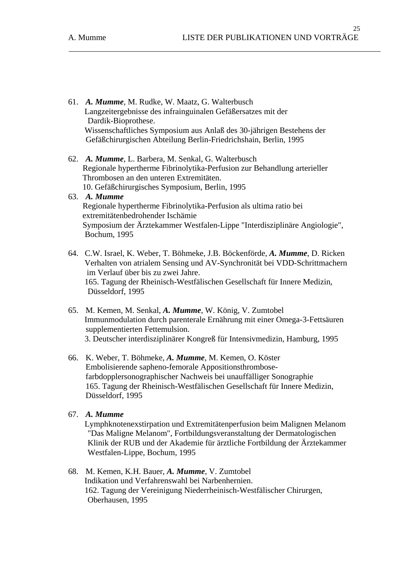- 61. *A. Mumme*, M. Rudke, W. Maatz, G. Walterbusch Langzeitergebnisse des infrainguinalen Gefäßersatzes mit der Dardik-Bioprothese. Wissenschaftliches Symposium aus Anlaß des 30-jährigen Bestehens der Gefäßchirurgischen Abteilung Berlin-Friedrichshain, Berlin, 1995
- 62. *A. Mumme*, L. Barbera, M. Senkal, G. Walterbusch Regionale hypertherme Fibrinolytika-Perfusion zur Behandlung arterieller Thrombosen an den unteren Extremitäten. 10. Gefäßchirurgisches Symposium, Berlin, 1995
- 63. *A. Mumme* Regionale hypertherme Fibrinolytika-Perfusion als ultima ratio bei extremitätenbedrohender Ischämie Symposium der Ärztekammer Westfalen-Lippe "Interdisziplinäre Angiologie", Bochum, 1995
- 64. C.W. Israel, K. Weber, T. Böhmeke, J.B. Böckenförde, *A. Mumme*, D. Ricken Verhalten von atrialem Sensing und AV-Synchronität bei VDD-Schrittmachern im Verlauf über bis zu zwei Jahre. 165. Tagung der Rheinisch-Westfälischen Gesellschaft für Innere Medizin, Düsseldorf, 1995
- 65. M. Kemen, M. Senkal, *A. Mumme*, W. König, V. Zumtobel Immunmodulation durch parenterale Ernährung mit einer Omega-3-Fettsäuren supplementierten Fettemulsion. 3. Deutscher interdisziplinärer Kongreß für Intensivmedizin, Hamburg, 1995
- 66. K. Weber, T. Böhmeke, *A. Mumme*, M. Kemen, O. Köster Embolisierende sapheno-femorale Appositionsthrombosefarbdopplersonographischer Nachweis bei unauffälliger Sonographie 165. Tagung der Rheinisch-Westfälischen Gesellschaft für Innere Medizin, Düsseldorf, 1995
- 67. *A. Mumme*

 Lymphknotenexstirpation und Extremitätenperfusion beim Malignen Melanom "Das Maligne Melanom", Fortbildungsveranstaltung der Dermatologischen Klinik der RUB und der Akademie für ärztliche Fortbildung der Ärztekammer Westfalen-Lippe, Bochum, 1995

68. M. Kemen, K.H. Bauer, *A. Mumme*, V. Zumtobel Indikation und Verfahrenswahl bei Narbenhernien. 162. Tagung der Vereinigung Niederrheinisch-Westfälischer Chirurgen, Oberhausen, 1995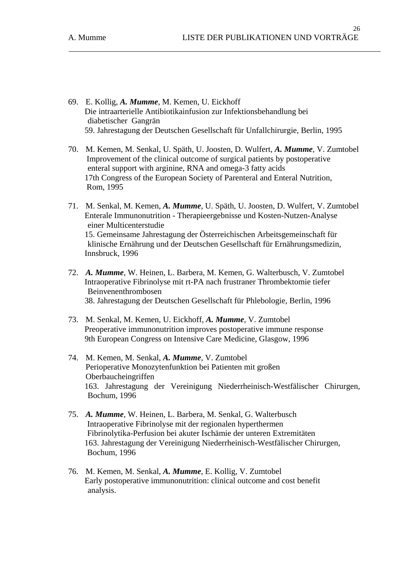- 69. E. Kollig, *A. Mumme*, M. Kemen, U. Eickhoff Die intraarterielle Antibiotikainfusion zur Infektionsbehandlung bei diabetischer Gangrän 59. Jahrestagung der Deutschen Gesellschaft für Unfallchirurgie, Berlin, 1995
- 70. M. Kemen, M. Senkal, U. Späth, U. Joosten, D. Wulfert, *A. Mumme*, V. Zumtobel Improvement of the clinical outcome of surgical patients by postoperative enteral support with arginine, RNA and omega-3 fatty acids 17th Congress of the European Society of Parenteral and Enteral Nutrition, Rom, 1995
- 71. M. Senkal, M. Kemen, *A. Mumme*, U. Späth, U. Joosten, D. Wulfert, V. Zumtobel Enterale Immunonutrition - Therapieergebnisse und Kosten-Nutzen-Analyse einer Multicenterstudie 15. Gemeinsame Jahrestagung der Österreichischen Arbeitsgemeinschaft für klinische Ernährung und der Deutschen Gesellschaft für Ernährungsmedizin, Innsbruck, 1996
- 72. *A. Mumme*, W. Heinen, L. Barbera, M. Kemen, G. Walterbusch, V. Zumtobel Intraoperative Fibrinolyse mit rt-PA nach frustraner Thrombektomie tiefer Beinvenenthrombosen 38. Jahrestagung der Deutschen Gesellschaft für Phlebologie, Berlin, 1996
- 73. M. Senkal, M. Kemen, U. Eickhoff, *A. Mumme*, V. Zumtobel Preoperative immunonutrition improves postoperative immune response 9th European Congress on Intensive Care Medicine, Glasgow, 1996
- 74. M. Kemen, M. Senkal, *A. Mumme*, V. Zumtobel Perioperative Monozytenfunktion bei Patienten mit großen Oberbaucheingriffen 163. Jahrestagung der Vereinigung Niederrheinisch-Westfälischer Chirurgen, Bochum, 1996
- 75. *A. Mumme*, W. Heinen, L. Barbera, M. Senkal, G. Walterbusch Intraoperative Fibrinolyse mit der regionalen hyperthermen Fibrinolytika-Perfusion bei akuter Ischämie der unteren Extremitäten 163. Jahrestagung der Vereinigung Niederrheinisch-Westfälischer Chirurgen, Bochum, 1996
- 76. M. Kemen, M. Senkal, *A. Mumme*, E. Kollig, V. Zumtobel Early postoperative immunonutrition: clinical outcome and cost benefit analysis.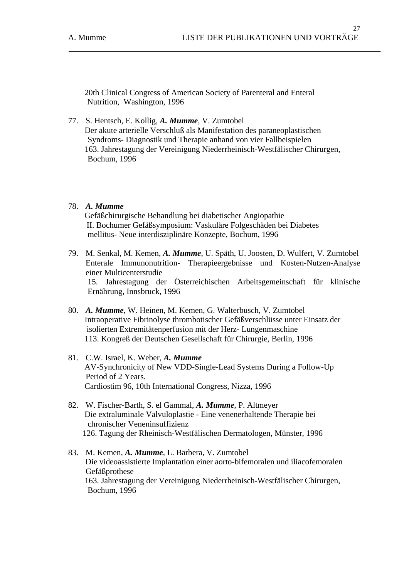20th Clinical Congress of American Society of Parenteral and Enteral Nutrition, Washington, 1996

77. S. Hentsch, E. Kollig, *A. Mumme*, V. Zumtobel Der akute arterielle Verschluß als Manifestation des paraneoplastischen Syndroms- Diagnostik und Therapie anhand von vier Fallbeispielen 163. Jahrestagung der Vereinigung Niederrheinisch-Westfälischer Chirurgen, Bochum, 1996

## 78. *A. Mumme*

 Gefäßchirurgische Behandlung bei diabetischer Angiopathie II. Bochumer Gefäßsymposium: Vaskuläre Folgeschäden bei Diabetes mellitus- Neue interdisziplinäre Konzepte, Bochum, 1996

- 79. M. Senkal, M. Kemen, *A. Mumme*, U. Späth, U. Joosten, D. Wulfert, V. Zumtobel Enterale Immunonutrition- Therapieergebnisse und Kosten-Nutzen-Analyse einer Multicenterstudie 15. Jahrestagung der Österreichischen Arbeitsgemeinschaft für klinische Ernährung, Innsbruck, 1996
- 80. *A. Mumme*, W. Heinen, M. Kemen, G. Walterbusch, V. Zumtobel Intraoperative Fibrinolyse thrombotischer Gefäßverschlüsse unter Einsatz der isolierten Extremitätenperfusion mit der Herz- Lungenmaschine 113. Kongreß der Deutschen Gesellschaft für Chirurgie, Berlin, 1996
- 81. C.W. Israel, K. Weber, *A. Mumme* AV-Synchronicity of New VDD-Single-Lead Systems During a Follow-Up Period of 2 Years. Cardiostim 96, 10th International Congress, Nizza, 1996
- 82. W. Fischer-Barth, S. el Gammal, *A. Mumme*, P. Altmeyer Die extraluminale Valvuloplastie - Eine venenerhaltende Therapie bei chronischer Veneninsuffizienz 126. Tagung der Rheinisch-Westfälischen Dermatologen, Münster, 1996
- 83. M. Kemen, *A. Mumme*, L. Barbera, V. Zumtobel Die videoassistierte Implantation einer aorto-bifemoralen und iliacofemoralen Gefäßprothese 163. Jahrestagung der Vereinigung Niederrheinisch-Westfälischer Chirurgen, Bochum, 1996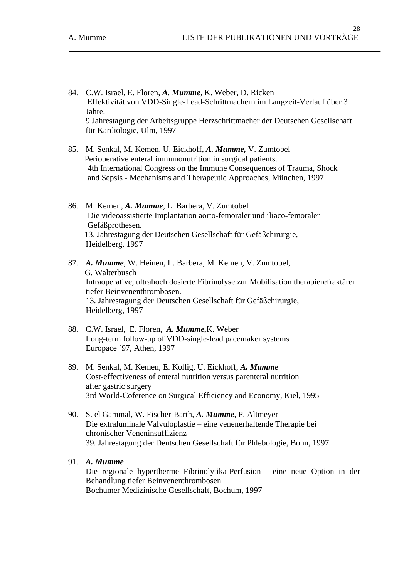- 84. C.W. Israel, E. Floren, *A. Mumme*, K. Weber, D. Ricken Effektivität von VDD-Single-Lead-Schrittmachern im Langzeit-Verlauf über 3 Jahre. 9.Jahrestagung der Arbeitsgruppe Herzschrittmacher der Deutschen Gesellschaft für Kardiologie, Ulm, 1997
- 85. M. Senkal, M. Kemen, U. Eickhoff, *A. Mumme,* V. Zumtobel Perioperative enteral immunonutrition in surgical patients. 4th International Congress on the Immune Consequences of Trauma, Shock and Sepsis - Mechanisms and Therapeutic Approaches, München, 1997
- 86. M. Kemen, *A. Mumme*, L. Barbera, V. Zumtobel Die videoassistierte Implantation aorto-femoraler und iliaco-femoraler Gefäßprothesen. 13. Jahrestagung der Deutschen Gesellschaft für Gefäßchirurgie, Heidelberg, 1997
- 87. *A. Mumme*, W. Heinen, L. Barbera, M. Kemen, V. Zumtobel, G. Walterbusch Intraoperative, ultrahoch dosierte Fibrinolyse zur Mobilisation therapierefraktärer tiefer Beinvenenthrombosen. 13. Jahrestagung der Deutschen Gesellschaft für Gefäßchirurgie, Heidelberg, 1997
- 88. C.W. Israel, E. Floren, *A. Mumme,*K. Weber Long-term follow-up of VDD-single-lead pacemaker systems Europace ´97, Athen, 1997
- 89. M. Senkal, M. Kemen, E. Kollig, U. Eickhoff, *A. Mumme* Cost-effectiveness of enteral nutrition versus parenteral nutrition after gastric surgery 3rd World-Coference on Surgical Efficiency and Economy, Kiel, 1995
- 90. S. el Gammal, W. Fischer-Barth, *A. Mumme*, P. Altmeyer Die extraluminale Valvuloplastie – eine venenerhaltende Therapie bei chronischer Veneninsuffizienz 39. Jahrestagung der Deutschen Gesellschaft für Phlebologie, Bonn, 1997
- 91. *A. Mumme*

 Die regionale hypertherme Fibrinolytika-Perfusion - eine neue Option in der Behandlung tiefer Beinvenenthrombosen Bochumer Medizinische Gesellschaft, Bochum, 1997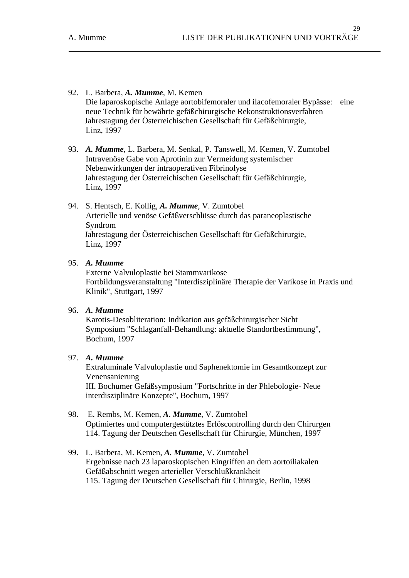- 92. L. Barbera, *A. Mumme*, M. Kemen Die laparoskopische Anlage aortobifemoraler und ilacofemoraler Bypässe: eine neue Technik für bewährte gefäßchirurgische Rekonstruktionsverfahren Jahrestagung der Österreichischen Gesellschaft für Gefäßchirurgie, Linz, 1997
- 93. *A. Mumme*, L. Barbera, M. Senkal, P. Tanswell, M. Kemen, V. Zumtobel Intravenöse Gabe von Aprotinin zur Vermeidung systemischer Nebenwirkungen der intraoperativen Fibrinolyse Jahrestagung der Österreichischen Gesellschaft für Gefäßchirurgie, Linz, 1997
- 94. S. Hentsch, E. Kollig, *A. Mumme*, V. Zumtobel Arterielle und venöse Gefäßverschlüsse durch das paraneoplastische Syndrom Jahrestagung der Österreichischen Gesellschaft für Gefäßchirurgie, Linz, 1997

 Externe Valvuloplastie bei Stammvarikose Fortbildungsveranstaltung "Interdisziplinäre Therapie der Varikose in Praxis und Klinik", Stuttgart, 1997

## 96. *A. Mumme*

 Karotis-Desobliteration: Indikation aus gefäßchirurgischer Sicht Symposium "Schlaganfall-Behandlung: aktuelle Standortbestimmung", Bochum, 1997

### 97. *A. Mumme*

 Extraluminale Valvuloplastie und Saphenektomie im Gesamtkonzept zur Venensanierung III. Bochumer Gefäßsymposium "Fortschritte in der Phlebologie- Neue interdisziplinäre Konzepte", Bochum, 1997

## 98. E. Rembs, M. Kemen, *A. Mumme*, V. Zumtobel Optimiertes und computergestütztes Erlöscontrolling durch den Chirurgen 114. Tagung der Deutschen Gesellschaft für Chirurgie, München, 1997

99. L. Barbera, M. Kemen, *A. Mumme*, V. Zumtobel Ergebnisse nach 23 laparoskopischen Eingriffen an dem aortoiliakalen Gefäßabschnitt wegen arterieller Verschlußkrankheit 115. Tagung der Deutschen Gesellschaft für Chirurgie, Berlin, 1998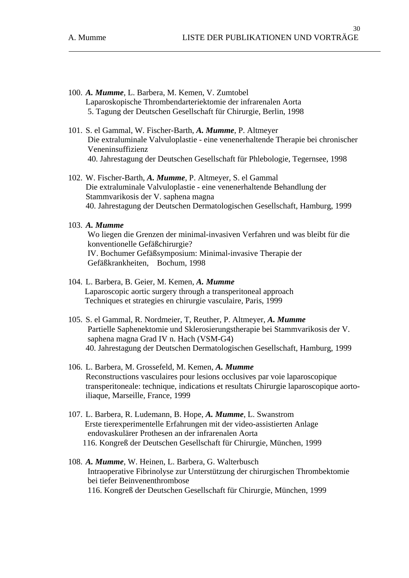- 100. *A. Mumme*, L. Barbera, M. Kemen, V. Zumtobel Laparoskopische Thrombendarteriektomie der infrarenalen Aorta 5. Tagung der Deutschen Gesellschaft für Chirurgie, Berlin, 1998
- 101. S. el Gammal, W. Fischer-Barth, *A. Mumme*, P. Altmeyer Die extraluminale Valvuloplastie - eine venenerhaltende Therapie bei chronischer Veneninsuffizienz 40. Jahrestagung der Deutschen Gesellschaft für Phlebologie, Tegernsee, 1998
- 102. W. Fischer-Barth, *A. Mumme*, P. Altmeyer, S. el Gammal Die extraluminale Valvuloplastie - eine venenerhaltende Behandlung der Stammvarikosis der V. saphena magna 40. Jahrestagung der Deutschen Dermatologischen Gesellschaft, Hamburg, 1999

 Wo liegen die Grenzen der minimal-invasiven Verfahren und was bleibt für die konventionelle Gefäßchirurgie? IV. Bochumer Gefäßsymposium: Minimal-invasive Therapie der Gefäßkrankheiten, Bochum, 1998

- 104. L. Barbera, B. Geier, M. Kemen, *A. Mumme* Laparoscopic aortic surgery through a transperitoneal approach Techniques et strategies en chirurgie vasculaire, Paris, 1999
- 105. S. el Gammal, R. Nordmeier, T, Reuther, P. Altmeyer, *A. Mumme* Partielle Saphenektomie und Sklerosierungstherapie bei Stammvarikosis der V. saphena magna Grad IV n. Hach (VSM-G4) 40. Jahrestagung der Deutschen Dermatologischen Gesellschaft, Hamburg, 1999
- 106. L. Barbera, M. Grossefeld, M. Kemen, *A. Mumme*  Reconstructions vasculaires pour lesions occlusives par voie laparoscopique transperitoneale: technique, indications et resultats Chirurgie laparoscopique aortoiliaque, Marseille, France, 1999
- 107. L. Barbera, R. Ludemann, B. Hope, *A. Mumme*, L. Swanstrom Erste tierexperimentelle Erfahrungen mit der video-assistierten Anlage endovaskulärer Prothesen an der infrarenalen Aorta 116. Kongreß der Deutschen Gesellschaft für Chirurgie, München, 1999
- 108. *A. Mumme*, W. Heinen, L. Barbera, G. Walterbusch Intraoperative Fibrinolyse zur Unterstützung der chirurgischen Thrombektomie bei tiefer Beinvenenthrombose 116. Kongreß der Deutschen Gesellschaft für Chirurgie, München, 1999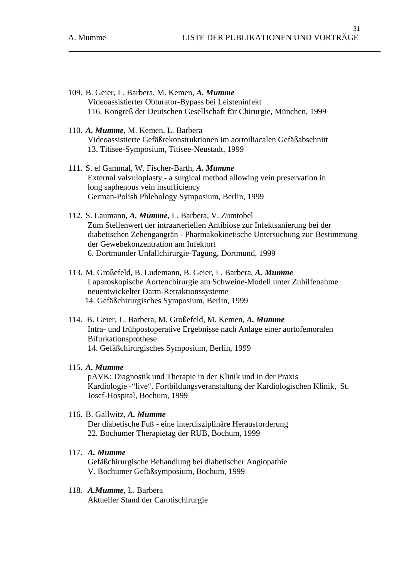- 109. B. Geier, L. Barbera, M. Kemen, *A. Mumme*  Videoassistierter Obturator-Bypass bei Leisteninfekt 116. Kongreß der Deutschen Gesellschaft für Chirurgie, München, 1999
- 110. *A. Mumme*, M. Kemen, L. Barbera Videoassistierte Gefäßrekonstruktionen im aortoiliacalen Gefäßabschnitt 13. Titisee-Symposium, Titisee-Neustadt, 1999
- 111. S. el Gammal, W. Fischer-Barth, *A. Mumme* External valvuloplasty - a surgical method allowing vein preservation in long saphenous vein insufficiency German-Polish Phlebology Symposium, Berlin, 1999
- 112. S. Laumann, *A. Mumme*, L. Barbera, V. Zumtobel Zum Stellenwert der intraarteriellen Antibiose zur Infektsanierung bei der diabetischen Zehengangrän - Pharmakokinetische Untersuchung zur Bestimmung der Gewebekonzentration am Infektort 6. Dortmunder Unfallchirurgie-Tagung, Dortmund, 1999
- 113. M. Großefeld, B. Ludemann, B. Geier, L. Barbera, *A. Mumme* Laparoskopische Aortenchirurgie am Schweine-Modell unter Zuhilfenahme neuentwickelter Darm-Retraktionssysteme 14. Gefäßchirurgisches Symposium, Berlin, 1999
- 114. B. Geier, L. Barbera, M. Großefeld, M. Kemen, *A. Mumme*  Intra- und frühpostoperative Ergebnisse nach Anlage einer aortofemoralen Bifurkationsprothese 14. Gefäßchirurgisches Symposium, Berlin, 1999

 pAVK: Diagnostik und Therapie in der Klinik und in der Praxis Kardiologie -"live". Fortbildungsveranstaltung der Kardiologischen Klinik, St. Josef-Hospital, Bochum, 1999

- 116. B. Gallwitz, *A. Mumme* Der diabetische Fuß - eine interdisziplinäre Herausforderung 22. Bochumer Therapietag der RUB, Bochum, 1999
- 117. *A. Mumme* Gefäßchirurgische Behandlung bei diabetischer Angiopathie V. Bochumer Gefäßsymposium, Bochum, 1999
- 118. *A.Mumme*, L. Barbera Aktueller Stand der Carotischirurgie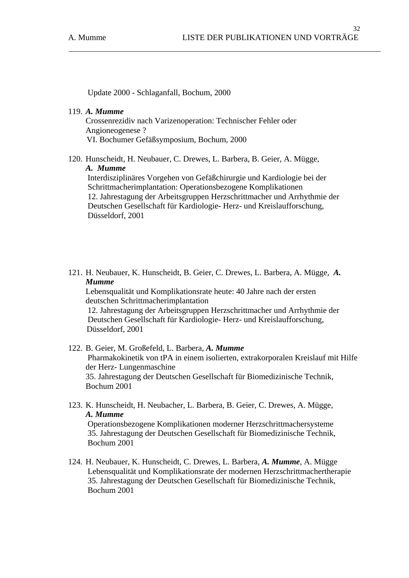Update 2000 - Schlaganfall, Bochum, 2000

#### 119. *A. Mumme*

Crossenrezidiv nach Varizenoperation: Technischer Fehler oder Angioneogenese ? VI. Bochumer Gefäßsymposium, Bochum, 2000

120. Hunscheidt, H. Neubauer, C. Drewes, L. Barbera, B. Geier, A. Mügge, *A. Mumme* 

Interdisziplinäres Vorgehen von Gefäßchirurgie und Kardiologie bei der Schrittmacherimplantation: Operationsbezogene Komplikationen 12. Jahrestagung der Arbeitsgruppen Herzschrittmacher und Arrhythmie der Deutschen Gesellschaft für Kardiologie- Herz- und Kreislaufforschung, Düsseldorf, 2001

121. H. Neubauer, K. Hunscheidt, B. Geier, C. Drewes, L. Barbera, A. Mügge, *A. Mumme*

Lebensqualität und Komplikationsrate heute: 40 Jahre nach der ersten deutschen Schrittmacherimplantation

12. Jahrestagung der Arbeitsgruppen Herzschrittmacher und Arrhythmie der Deutschen Gesellschaft für Kardiologie- Herz- und Kreislaufforschung, Düsseldorf, 2001

- 122. B. Geier, M. Großefeld, L. Barbera, *A. Mumme* Pharmakokinetik von tPA in einem isolierten, extrakorporalen Kreislauf mit Hilfe der Herz- Lungenmaschine 35. Jahrestagung der Deutschen Gesellschaft für Biomedizinische Technik, Bochum 2001
- 123. K. Hunscheidt, H. Neubacher, L. Barbera, B. Geier, C. Drewes, A. Mügge, *A. Mumme* Operationsbezogene Komplikationen moderner Herzschrittmachersysteme

 35. Jahrestagung der Deutschen Gesellschaft für Biomedizinische Technik, Bochum 2001

124. H. Neubauer, K. Hunscheidt, C. Drewes, L. Barbera, *A. Mumme*, A. Mügge Lebensqualität und Komplikationsrate der modernen Herzschrittmachertherapie 35. Jahrestagung der Deutschen Gesellschaft für Biomedizinische Technik, Bochum 2001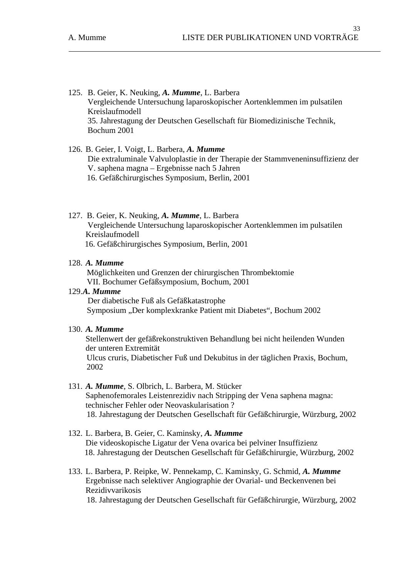- 125. B. Geier, K. Neuking, *A. Mumme*, L. Barbera Vergleichende Untersuchung laparoskopischer Aortenklemmen im pulsatilen Kreislaufmodell 35. Jahrestagung der Deutschen Gesellschaft für Biomedizinische Technik, Bochum 2001
- 126. B. Geier, I. Voigt, L. Barbera, *A. Mumme*  Die extraluminale Valvuloplastie in der Therapie der Stammveneninsuffizienz der V. saphena magna – Ergebnisse nach 5 Jahren 16. Gefäßchirurgisches Symposium, Berlin, 2001
- 127. B. Geier, K. Neuking, *A. Mumme*, L. Barbera Vergleichende Untersuchung laparoskopischer Aortenklemmen im pulsatilen Kreislaufmodell 16. Gefäßchirurgisches Symposium, Berlin, 2001

 Möglichkeiten und Grenzen der chirurgischen Thrombektomie VII. Bochumer Gefäßsymposium, Bochum, 2001

129.*A. Mumme* 

 Der diabetische Fuß als Gefäßkatastrophe Symposium "Der komplexkranke Patient mit Diabetes", Bochum 2002

### 130. *A. Mumme*

Stellenwert der gefäßrekonstruktiven Behandlung bei nicht heilenden Wunden der unteren Extremität Ulcus cruris, Diabetischer Fuß und Dekubitus in der täglichen Praxis, Bochum, 2002

## 131. *A. Mumme*, S. Olbrich, L. Barbera, M. Stücker Saphenofemorales Leistenrezidiv nach Stripping der Vena saphena magna: technischer Fehler oder Neovaskularisation ? 18. Jahrestagung der Deutschen Gesellschaft für Gefäßchirurgie, Würzburg, 2002

- 132. L. Barbera, B. Geier, C. Kaminsky, *A. Mumme* Die videoskopische Ligatur der Vena ovarica bei pelviner Insuffizienz 18. Jahrestagung der Deutschen Gesellschaft für Gefäßchirurgie, Würzburg, 2002
- 133. L. Barbera, P. Reipke, W. Pennekamp, C. Kaminsky, G. Schmid, *A. Mumme* Ergebnisse nach selektiver Angiographie der Ovarial- und Beckenvenen bei Rezidivvarikosis 18. Jahrestagung der Deutschen Gesellschaft für Gefäßchirurgie, Würzburg, 2002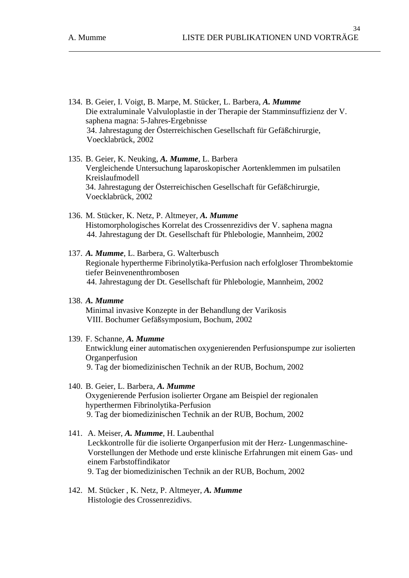- 134. B. Geier, I. Voigt, B. Marpe, M. Stücker, L. Barbera, *A. Mumme*  Die extraluminale Valvuloplastie in der Therapie der Stamminsuffizienz der V. saphena magna: 5-Jahres-Ergebnisse 34. Jahrestagung der Österreichischen Gesellschaft für Gefäßchirurgie, Voecklabrück, 2002
- 135. B. Geier, K. Neuking, *A. Mumme*, L. Barbera Vergleichende Untersuchung laparoskopischer Aortenklemmen im pulsatilen Kreislaufmodell 34. Jahrestagung der Österreichischen Gesellschaft für Gefäßchirurgie, Voecklabrück, 2002
- 136. M. Stücker, K. Netz, P. Altmeyer, *A. Mumme* Histomorphologisches Korrelat des Crossenrezidivs der V. saphena magna 44. Jahrestagung der Dt. Gesellschaft für Phlebologie, Mannheim, 2002
- 137. *A. Mumme*, L. Barbera, G. Walterbusch Regionale hypertherme Fibrinolytika-Perfusion nach erfolgloser Thrombektomie tiefer Beinvenenthrombosen 44. Jahrestagung der Dt. Gesellschaft für Phlebologie, Mannheim, 2002
- 138. *A. Mumme*  Minimal invasive Konzepte in der Behandlung der Varikosis VIII. Bochumer Gefäßsymposium, Bochum, 2002

# 139. F. Schanne, *A. Mumme*  Entwicklung einer automatischen oxygenierenden Perfusionspumpe zur isolierten **Organperfusion** 9. Tag der biomedizinischen Technik an der RUB, Bochum, 2002

- 140. B. Geier, L. Barbera, *A. Mumme* Oxygenierende Perfusion isolierter Organe am Beispiel der regionalen hyperthermen Fibrinolytika-Perfusion 9. Tag der biomedizinischen Technik an der RUB, Bochum, 2002
- 141. A. Meiser, *A. Mumme*, H. Laubenthal Leckkontrolle für die isolierte Organperfusion mit der Herz- Lungenmaschine-Vorstellungen der Methode und erste klinische Erfahrungen mit einem Gas- und einem Farbstoffindikator 9. Tag der biomedizinischen Technik an der RUB, Bochum, 2002
- 142. M. Stücker , K. Netz, P. Altmeyer, *A. Mumme* Histologie des Crossenrezidivs.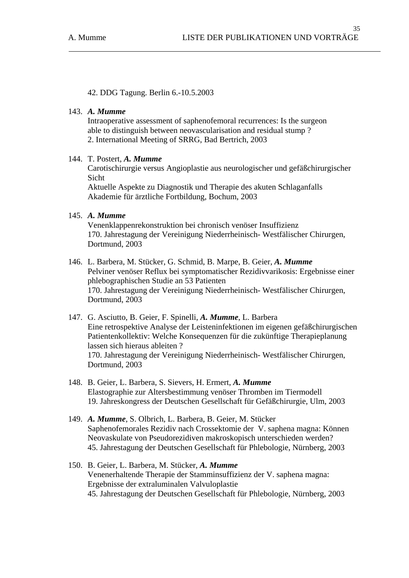42. DDG Tagung. Berlin 6.-10.5.2003

# 143. *A. Mumme*

 Intraoperative assessment of saphenofemoral recurrences: Is the surgeon able to distinguish between neovascularisation and residual stump ? 2. International Meeting of SRRG, Bad Bertrich, 2003

## 144. T. Postert, *A. Mumme*

Carotischirurgie versus Angioplastie aus neurologischer und gefäßchirurgischer Sicht

Aktuelle Aspekte zu Diagnostik und Therapie des akuten Schlaganfalls Akademie für ärztliche Fortbildung, Bochum, 2003

## 145. *A. Mumme*

Venenklappenrekonstruktion bei chronisch venöser Insuffizienz 170. Jahrestagung der Vereinigung Niederrheinisch- Westfälischer Chirurgen, Dortmund, 2003

- 146. L. Barbera, M. Stücker, G. Schmid, B. Marpe, B. Geier, *A. Mumme* Pelviner venöser Reflux bei symptomatischer Rezidivvarikosis: Ergebnisse einer phlebographischen Studie an 53 Patienten 170. Jahrestagung der Vereinigung Niederrheinisch- Westfälischer Chirurgen, Dortmund, 2003
- 147. G. Asciutto, B. Geier, F. Spinelli, *A. Mumme*, L. Barbera Eine retrospektive Analyse der Leisteninfektionen im eigenen gefäßchirurgischen Patientenkollektiv: Welche Konsequenzen für die zukünftige Therapieplanung lassen sich hieraus ableiten ? 170. Jahrestagung der Vereinigung Niederrheinisch- Westfälischer Chirurgen, Dortmund, 2003
- 148. B. Geier, L. Barbera, S. Sievers, H. Ermert, *A. Mumme*  Elastographie zur Altersbestimmung venöser Thromben im Tiermodell 19. Jahreskongress der Deutschen Gesellschaft für Gefäßchirurgie, Ulm, 2003
- 149. *A. Mumme*, S. Olbrich, L. Barbera, B. Geier, M. Stücker Saphenofemorales Rezidiv nach Crossektomie der V. saphena magna: Können Neovaskulate von Pseudorezidiven makroskopisch unterschieden werden? 45. Jahrestagung der Deutschen Gesellschaft für Phlebologie, Nürnberg, 2003
- 150. B. Geier, L. Barbera, M. Stücker, *A. Mumme* Venenerhaltende Therapie der Stamminsuffizienz der V. saphena magna: Ergebnisse der extraluminalen Valvuloplastie 45. Jahrestagung der Deutschen Gesellschaft für Phlebologie, Nürnberg, 2003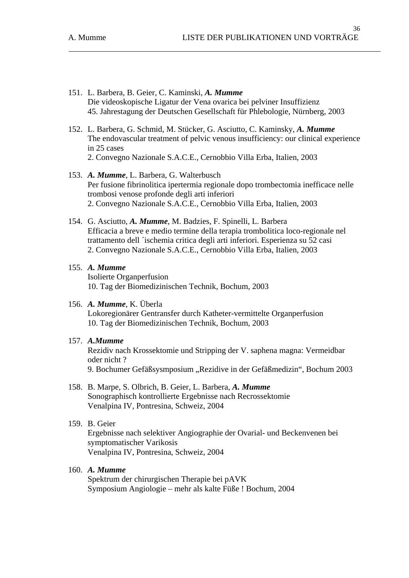- 151. L. Barbera, B. Geier, C. Kaminski, *A. Mumme*  Die videoskopische Ligatur der Vena ovarica bei pelviner Insuffizienz 45. Jahrestagung der Deutschen Gesellschaft für Phlebologie, Nürnberg, 2003
- 152. L. Barbera, G. Schmid, M. Stücker, G. Asciutto, C. Kaminsky, *A. Mumme* The endovascular treatment of pelvic venous insufficiency: our clinical experience in 25 cases 2. Convegno Nazionale S.A.C.E., Cernobbio Villa Erba, Italien, 2003
- 153. *A. Mumme*, L. Barbera, G. Walterbusch Per fusione fibrinolitica ipertermia regionale dopo trombectomia inefficace nelle trombosi venose profonde degli arti inferiori 2. Convegno Nazionale S.A.C.E., Cernobbio Villa Erba, Italien, 2003
- 154. G. Asciutto, *A. Mumme*, M. Badzies, F. Spinelli, L. Barbera Efficacia a breve e medio termine della terapia trombolitica loco-regionale nel trattamento dell ´ischemia critica degli arti inferiori. Esperienza su 52 casi 2. Convegno Nazionale S.A.C.E., Cernobbio Villa Erba, Italien, 2003
- 155. *A. Mumme* Isolierte Organperfusion 10. Tag der Biomedizinischen Technik, Bochum, 2003
- 156. *A. Mumme*, K. Überla

Lokoregionärer Gentransfer durch Katheter-vermittelte Organperfusion 10. Tag der Biomedizinischen Technik, Bochum, 2003

157. *A.Mumme* 

Rezidiv nach Krossektomie und Stripping der V. saphena magna: Vermeidbar oder nicht ?

9. Bochumer Gefäßsysmposium "Rezidive in der Gefäßmedizin", Bochum 2003

158. B. Marpe, S. Olbrich, B. Geier, L. Barbera, *A. Mumme* Sonographisch kontrollierte Ergebnisse nach Recrossektomie Venalpina IV, Pontresina, Schweiz, 2004

# 159. B. Geier

Ergebnisse nach selektiver Angiographie der Ovarial- und Beckenvenen bei symptomatischer Varikosis Venalpina IV, Pontresina, Schweiz, 2004

# 160. *A. Mumme*

Spektrum der chirurgischen Therapie bei pAVK Symposium Angiologie – mehr als kalte Füße ! Bochum, 2004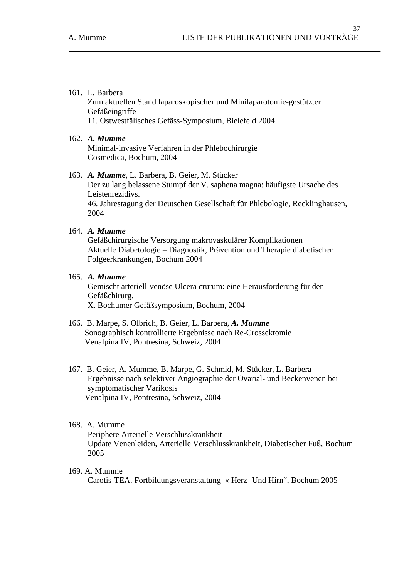### 161. L. Barbera

Zum aktuellen Stand laparoskopischer und Minilaparotomie-gestützter Gefäßeingriffe 11. Ostwestfälisches Gefäss-Symposium, Bielefeld 2004

## 162. *A. Mumme*

Minimal-invasive Verfahren in der Phlebochirurgie Cosmedica, Bochum, 2004

### 163. *A. Mumme*, L. Barbera, B. Geier, M. Stücker

Der zu lang belassene Stumpf der V. saphena magna: häufigste Ursache des Leistenrezidivs. 46. Jahrestagung der Deutschen Gesellschaft für Phlebologie, Recklinghausen, 2004

# 164. *A. Mumme*

Gefäßchirurgische Versorgung makrovaskulärer Komplikationen Aktuelle Diabetologie – Diagnostik, Prävention und Therapie diabetischer Folgeerkrankungen, Bochum 2004

## 165. *A. Mumme*

Gemischt arteriell-venöse Ulcera crurum: eine Herausforderung für den Gefäßchirurg. X. Bochumer Gefäßsymposium, Bochum, 2004

- 166. B. Marpe, S. Olbrich, B. Geier, L. Barbera, *A. Mumme* Sonographisch kontrollierte Ergebnisse nach Re-Crossektomie Venalpina IV, Pontresina, Schweiz, 2004
- 167. B. Geier, A. Mumme, B. Marpe, G. Schmid, M. Stücker, L. Barbera Ergebnisse nach selektiver Angiographie der Ovarial- und Beckenvenen bei symptomatischer Varikosis Venalpina IV, Pontresina, Schweiz, 2004

## 168. A. Mumme

Periphere Arterielle Verschlusskrankheit Update Venenleiden, Arterielle Verschlusskrankheit, Diabetischer Fuß, Bochum 2005

#### 169. A. Mumme

Carotis-TEA. Fortbildungsveranstaltung « Herz- Und Hirn", Bochum 2005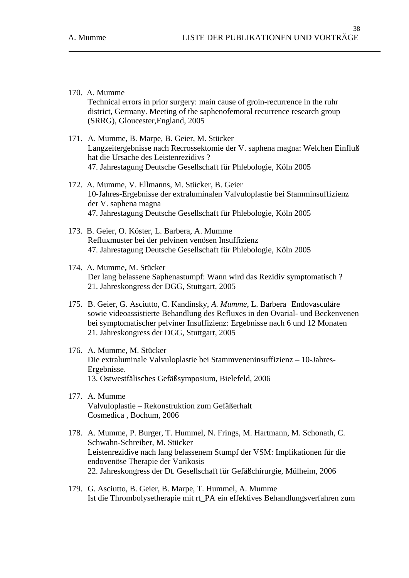Technical errors in prior surgery: main cause of groin-recurrence in the ruhr district, Germany. Meeting of the saphenofemoral recurrence research group (SRRG), Gloucester,England, 2005

- 171. A. Mumme, B. Marpe, B. Geier, M. Stücker Langzeitergebnisse nach Recrossektomie der V. saphena magna: Welchen Einfluß hat die Ursache des Leistenrezidivs ? 47. Jahrestagung Deutsche Gesellschaft für Phlebologie, Köln 2005
- 172. A. Mumme, V. Ellmanns, M. Stücker, B. Geier 10-Jahres-Ergebnisse der extraluminalen Valvuloplastie bei Stamminsuffizienz der V. saphena magna 47. Jahrestagung Deutsche Gesellschaft für Phlebologie, Köln 2005
- 173. B. Geier, O. Köster, L. Barbera, A. Mumme Refluxmuster bei der pelvinen venösen Insuffizienz 47. Jahrestagung Deutsche Gesellschaft für Phlebologie, Köln 2005
- 174. A. Mumme**,** M. Stücker Der lang belassene Saphenastumpf: Wann wird das Rezidiv symptomatisch ? 21. Jahreskongress der DGG, Stuttgart, 2005
- 175. B. Geier, G. Asciutto, C. Kandinsky, *A. Mumme*, L. Barbera Endovasculäre sowie videoassistierte Behandlung des Refluxes in den Ovarial- und Beckenvenen bei symptomatischer pelviner Insuffizienz: Ergebnisse nach 6 und 12 Monaten 21. Jahreskongress der DGG, Stuttgart, 2005
- 176. A. Mumme, M. Stücker Die extraluminale Valvuloplastie bei Stammveneninsuffizienz – 10-Jahres-Ergebnisse. 13. Ostwestfälisches Gefäßsymposium, Bielefeld, 2006
- 177. A. Mumme Valvuloplastie – Rekonstruktion zum Gefäßerhalt Cosmedica , Bochum, 2006
- 178. A. Mumme, P. Burger, T. Hummel, N. Frings, M. Hartmann, M. Schonath, C. Schwahn-Schreiber, M. Stücker Leistenrezidive nach lang belassenem Stumpf der VSM: Implikationen für die endovenöse Therapie der Varikosis 22. Jahreskongress der Dt. Gesellschaft für Gefäßchirurgie, Mülheim, 2006
- 179. G. Asciutto, B. Geier, B. Marpe, T. Hummel, A. Mumme Ist die Thrombolysetherapie mit rt\_PA ein effektives Behandlungsverfahren zum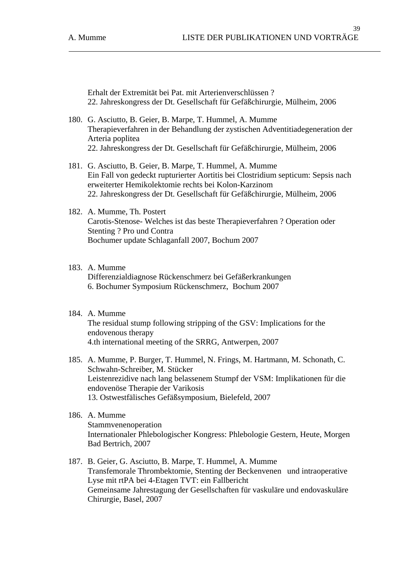Erhalt der Extremität bei Pat. mit Arterienverschlüssen ? 22. Jahreskongress der Dt. Gesellschaft für Gefäßchirurgie, Mülheim, 2006

- 180. G. Asciutto, B. Geier, B. Marpe, T. Hummel, A. Mumme Therapieverfahren in der Behandlung der zystischen Adventitiadegeneration der Arteria poplitea 22. Jahreskongress der Dt. Gesellschaft für Gefäßchirurgie, Mülheim, 2006
- 181. G. Asciutto, B. Geier, B. Marpe, T. Hummel, A. Mumme Ein Fall von gedeckt rupturierter Aortitis bei Clostridium septicum: Sepsis nach erweiterter Hemikolektomie rechts bei Kolon-Karzinom 22. Jahreskongress der Dt. Gesellschaft für Gefäßchirurgie, Mülheim, 2006
- 182. A. Mumme, Th. Postert Carotis-Stenose- Welches ist das beste Therapieverfahren ? Operation oder Stenting ? Pro und Contra Bochumer update Schlaganfall 2007, Bochum 2007

### 183. A. Mumme

Differenzialdiagnose Rückenschmerz bei Gefäßerkrankungen 6. Bochumer Symposium Rückenschmerz, Bochum 2007

- 184. A. Mumme The residual stump following stripping of the GSV: Implications for the endovenous therapy 4.th international meeting of the SRRG, Antwerpen, 2007
- 185. A. Mumme, P. Burger, T. Hummel, N. Frings, M. Hartmann, M. Schonath, C. Schwahn-Schreiber, M. Stücker Leistenrezidive nach lang belassenem Stumpf der VSM: Implikationen für die endovenöse Therapie der Varikosis 13. Ostwestfälisches Gefäßsymposium, Bielefeld, 2007

## 186. A. Mumme Stammvenenoperation Internationaler Phlebologischer Kongress: Phlebologie Gestern, Heute, Morgen Bad Bertrich, 2007

187. B. Geier, G. Asciutto, B. Marpe, T. Hummel, A. Mumme Transfemorale Thrombektomie, Stenting der Beckenvenen und intraoperative Lyse mit rtPA bei 4-Etagen TVT: ein Fallbericht Gemeinsame Jahrestagung der Gesellschaften für vaskuläre und endovaskuläre Chirurgie, Basel, 2007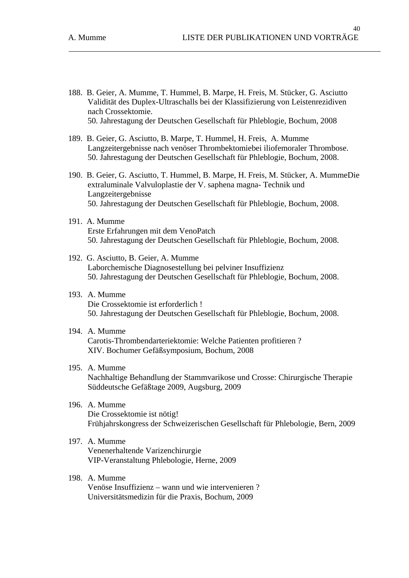- 188. B. Geier, A. Mumme, T. Hummel, B. Marpe, H. Freis, M. Stücker, G. Asciutto Validität des Duplex-Ultraschalls bei der Klassifizierung von Leistenrezidiven nach Crossektomie. 50. Jahrestagung der Deutschen Gesellschaft für Phleblogie, Bochum, 2008
- 189. B. Geier, G. Asciutto, B. Marpe, T. Hummel, H. Freis, A. Mumme Langzeitergebnisse nach venöser Thrombektomiebei iliofemoraler Thrombose. 50. Jahrestagung der Deutschen Gesellschaft für Phleblogie, Bochum, 2008.
- 190. B. Geier, G. Asciutto, T. Hummel, B. Marpe, H. Freis, M. Stücker, A. MummeDie extraluminale Valvuloplastie der V. saphena magna- Technik und Langzeitergebnisse 50. Jahrestagung der Deutschen Gesellschaft für Phleblogie, Bochum, 2008.
- 191. A. Mumme Erste Erfahrungen mit dem VenoPatch 50. Jahrestagung der Deutschen Gesellschaft für Phleblogie, Bochum, 2008.
- 192. G. Asciutto, B. Geier, A. Mumme Laborchemische Diagnosestellung bei pelviner Insuffizienz 50. Jahrestagung der Deutschen Gesellschaft für Phleblogie, Bochum, 2008.
- 193. A. Mumme Die Crossektomie ist erforderlich ! 50. Jahrestagung der Deutschen Gesellschaft für Phleblogie, Bochum, 2008.
- 194. A. Mumme Carotis-Thrombendarteriektomie: Welche Patienten profitieren ? XIV. Bochumer Gefäßsymposium, Bochum, 2008
- 195. A. Mumme Nachhaltige Behandlung der Stammvarikose und Crosse: Chirurgische Therapie Süddeutsche Gefäßtage 2009, Augsburg, 2009
	- 196. A. Mumme Die Crossektomie ist nötig! Frühjahrskongress der Schweizerischen Gesellschaft für Phlebologie, Bern, 2009
	- 197. A. Mumme Venenerhaltende Varizenchirurgie VIP-Veranstaltung Phlebologie, Herne, 2009
	- 198. A. Mumme Venöse Insuffizienz – wann und wie intervenieren ? Universitätsmedizin für die Praxis, Bochum, 2009